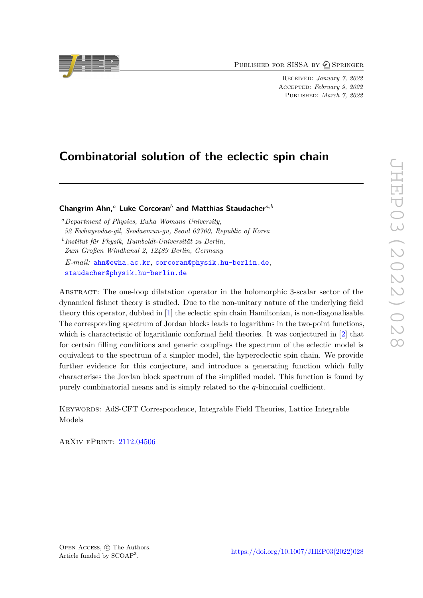PUBLISHED FOR SISSA BY 2 SPRINGER

Received: *January 7, 2022* Accepted: *February 9, 2022* Published: *March 7, 2022*

# **Combinatorial solution of the eclectic spin chain**

**Changrim Ahn,***<sup>a</sup>* **Luke Corcoran***<sup>b</sup>* **and Matthias Staudacher***a,b*

*<sup>a</sup>Department of Physics, Ewha Womans University, 52 Ewhayeodae-gil, Seodaemun-gu, Seoul 03760, Republic of Korea b Institut für Physik, Humboldt-Universität zu Berlin,*

*Zum Großen Windkanal 2, 12489 Berlin, Germany*

*E-mail:* [ahn@ewha.ac.kr](mailto:ahn@ewha.ac.kr), [corcoran@physik.hu-berlin.de](mailto:corcoran@physik.hu-berlin.de), [staudacher@physik.hu-berlin.de](mailto:staudacher@physik.hu-berlin.de)

Abstract: The one-loop dilatation operator in the holomorphic 3-scalar sector of the dynamical fishnet theory is studied. Due to the non-unitary nature of the underlying field theory this operator, dubbed in [\[1\]](#page-30-0) the eclectic spin chain Hamiltonian, is non-diagonalisable. The corresponding spectrum of Jordan blocks leads to logarithms in the two-point functions, which is characteristic of logarithmic conformal field theories. It was conjectured in [\[2\]](#page-30-1) that for certain filling conditions and generic couplings the spectrum of the eclectic model is equivalent to the spectrum of a simpler model, the hypereclectic spin chain. We provide further evidence for this conjecture, and introduce a generating function which fully characterises the Jordan block spectrum of the simplified model. This function is found by purely combinatorial means and is simply related to the *q*-binomial coefficient.

Keywords: AdS-CFT Correspondence, Integrable Field Theories, Lattice Integrable Models

ArXiv ePrint: [2112.04506](https://arxiv.org/abs/2112.04506)

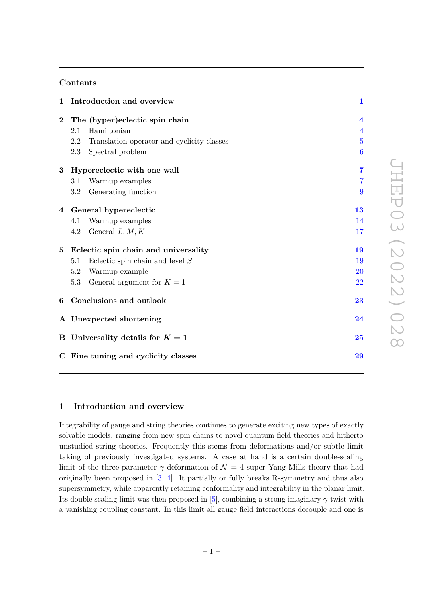# **Contents**

| 1                                   | Introduction and overview                         |                         |  |
|-------------------------------------|---------------------------------------------------|-------------------------|--|
| $\bf{2}$                            | The (hyper)eclectic spin chain                    | $\overline{\mathbf{4}}$ |  |
|                                     | Hamiltonian<br>$2.1\,$                            | $\overline{4}$          |  |
|                                     | 2.2<br>Translation operator and cyclicity classes | $\overline{5}$          |  |
|                                     | Spectral problem<br>2.3                           | $\boldsymbol{6}$        |  |
| 3                                   | Hypereclectic with one wall                       | $\overline{7}$          |  |
|                                     | Warmup examples<br>3.1                            | $\overline{7}$          |  |
|                                     | Generating function<br>$3.2\,$                    | 9                       |  |
|                                     | 4 General hypereclectic                           | 13                      |  |
|                                     | Warmup examples<br>4.1                            | 14                      |  |
|                                     | General $L, M, K$<br>4.2                          | 17                      |  |
| $\bf{5}$                            | Eclectic spin chain and universality              | 19                      |  |
|                                     | Eclectic spin chain and level $S$<br>$5.1\,$      | 19                      |  |
|                                     | Warmup example<br>5.2                             | <b>20</b>               |  |
|                                     | General argument for $K = 1$<br>5.3               | 22                      |  |
| 6                                   | Conclusions and outlook                           | 23                      |  |
|                                     | A Unexpected shortening                           |                         |  |
|                                     | B Universality details for $K = 1$                |                         |  |
| C Fine tuning and cyclicity classes |                                                   |                         |  |

# <span id="page-1-0"></span>**1 Introduction and overview**

Integrability of gauge and string theories continues to generate exciting new types of exactly solvable models, ranging from new spin chains to novel quantum field theories and hitherto unstudied string theories. Frequently this stems from deformations and/or subtle limit taking of previously investigated systems. A case at hand is a certain double-scaling limit of the three-parameter  $\gamma$ -deformation of  $\mathcal{N} = 4$  super Yang-Mills theory that had originally been proposed in [\[3,](#page-30-2) [4\]](#page-30-3). It partially or fully breaks R-symmetry and thus also supersymmetry, while apparently retaining conformality and integrability in the planar limit. Its double-scaling limit was then proposed in  $[5]$ , combining a strong imaginary  $\gamma$ -twist with a vanishing coupling constant. In this limit all gauge field interactions decouple and one is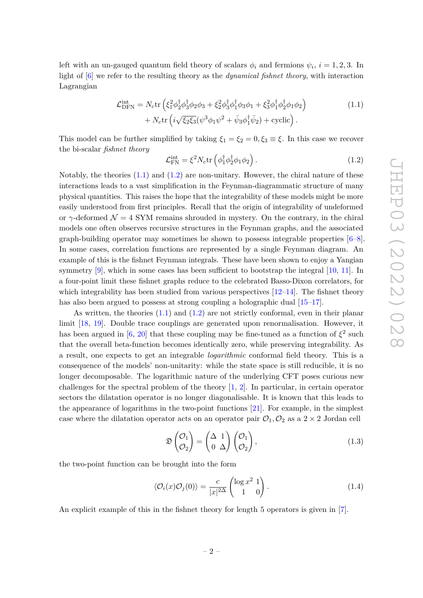left with an un-gauged quantum field theory of scalars  $\phi_i$  and fermions  $\psi_i$ ,  $i = 1, 2, 3$ . In light of [\[6\]](#page-30-5) we refer to the resulting theory as the *dynamical fishnet theory*, with interaction Lagrangian

$$
\mathcal{L}_{\text{DFN}}^{\text{int}} = N_c \text{tr} \left( \xi_1^2 \phi_2^{\dagger} \phi_3^{\dagger} \phi_2 \phi_3 + \xi_2^2 \phi_3^{\dagger} \phi_1^{\dagger} \phi_3 \phi_1 + \xi_3^2 \phi_1^{\dagger} \phi_2^{\dagger} \phi_1 \phi_2 \right) + N_c \text{tr} \left( i \sqrt{\xi_2 \xi_3} (\psi^3 \phi_1 \psi^2 + \bar{\psi}_3 \phi_1^{\dagger} \bar{\psi}_2) + \text{cyclic} \right).
$$
 (1.1)

This model can be further simplified by taking  $\xi_1 = \xi_2 = 0, \xi_3 \equiv \xi$ . In this case we recover the bi-scalar *fishnet theory*

<span id="page-2-1"></span><span id="page-2-0"></span>
$$
\mathcal{L}_{\text{FN}}^{\text{int}} = \xi^2 N_c \text{tr}\left(\phi_1^\dagger \phi_2^\dagger \phi_1 \phi_2\right). \tag{1.2}
$$

Notably, the theories  $(1.1)$  and  $(1.2)$  are non-unitary. However, the chiral nature of these interactions leads to a vast simplification in the Feynman-diagrammatic structure of many physical quantities. This raises the hope that the integrability of these models might be more easily understood from first principles. Recall that the origin of integrability of undeformed or  $\gamma$ -deformed  $\mathcal{N} = 4$  SYM remains shrouded in mystery. On the contrary, in the chiral models one often observes recursive structures in the Feynman graphs, and the associated graph-building operator may sometimes be shown to possess integrable properties  $[6-8]$  $[6-8]$ . In some cases, correlation functions are represented by a single Feynman diagram. An example of this is the fishnet Feynman integrals. These have been shown to enjoy a Yangian symmetry [\[9\]](#page-30-7), which in some cases has been sufficient to bootstrap the integral [\[10,](#page-30-8) [11\]](#page-30-9). In a four-point limit these fishnet graphs reduce to the celebrated Basso-Dixon correlators, for which integrability has been studied from various perspectives  $[12-14]$  $[12-14]$ . The fishnet theory has also been argued to possess at strong coupling a holographic dual  $[15-17]$  $[15-17]$ .

As written, the theories  $(1.1)$  and  $(1.2)$  are not strictly conformal, even in their planar limit [\[18,](#page-31-2) [19\]](#page-31-3). Double trace couplings are generated upon renormalisation. However, it has been argued in [\[6,](#page-30-5) [20\]](#page-31-4) that these coupling may be fine-tuned as a function of  $\xi^2$  such that the overall beta-function becomes identically zero, while preserving integrability. As a result, one expects to get an integrable *logarithmic* conformal field theory. This is a consequence of the models' non-unitarity: while the state space is still reducible, it is no longer decomposable. The logarithmic nature of the underlying CFT poses curious new challenges for the spectral problem of the theory [\[1,](#page-30-0) [2\]](#page-30-1). In particular, in certain operator sectors the dilatation operator is no longer diagonalisable. It is known that this leads to the appearance of logarithms in the two-point functions [\[21\]](#page-31-5). For example, in the simplest case where the dilatation operator acts on an operator pair  $\mathcal{O}_1, \mathcal{O}_2$  as a 2  $\times$  2 Jordan cell

$$
\mathfrak{D}\begin{pmatrix} \mathcal{O}_1 \\ \mathcal{O}_2 \end{pmatrix} = \begin{pmatrix} \Delta & 1 \\ 0 & \Delta \end{pmatrix} \begin{pmatrix} \mathcal{O}_1 \\ \mathcal{O}_2 \end{pmatrix},\tag{1.3}
$$

the two-point function can be brought into the form

$$
\langle \mathcal{O}_i(x)\mathcal{O}_j(0)\rangle = \frac{c}{|x|^{2\Delta}} \begin{pmatrix} \log x^2 & 1\\ 1 & 0 \end{pmatrix} . \tag{1.4}
$$

An explicit example of this in the fishnet theory for length 5 operators is given in [\[7\]](#page-30-12).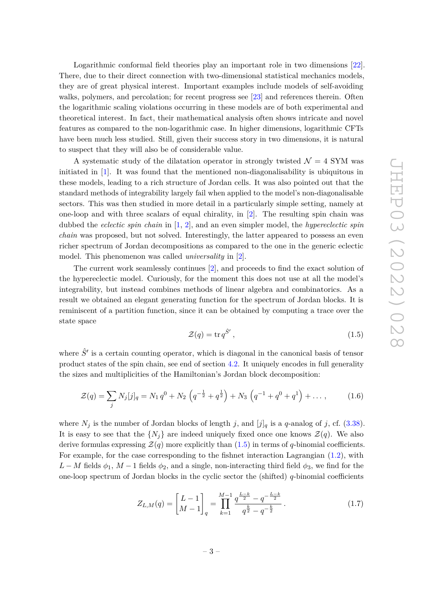Logarithmic conformal field theories play an important role in two dimensions [\[22\]](#page-31-6). There, due to their direct connection with two-dimensional statistical mechanics models, they are of great physical interest. Important examples include models of self-avoiding walks, polymers, and percolation; for recent progress see [\[23\]](#page-31-7) and references therein. Often the logarithmic scaling violations occurring in these models are of both experimental and theoretical interest. In fact, their mathematical analysis often shows intricate and novel features as compared to the non-logarithmic case. In higher dimensions, logarithmic CFTs have been much less studied. Still, given their success story in two dimensions, it is natural to suspect that they will also be of considerable value.

A systematic study of the dilatation operator in strongly twisted  $\mathcal{N} = 4$  SYM was initiated in [\[1\]](#page-30-0). It was found that the mentioned non-diagonalisability is ubiquitous in these models, leading to a rich structure of Jordan cells. It was also pointed out that the standard methods of integrability largely fail when applied to the model's non-diagonalisable sectors. This was then studied in more detail in a particularly simple setting, namely at one-loop and with three scalars of equal chirality, in [\[2\]](#page-30-1). The resulting spin chain was dubbed the *eclectic spin chain* in [\[1,](#page-30-0) [2\]](#page-30-1), and an even simpler model, the *hypereclectic spin chain* was proposed, but not solved. Interestingly, the latter appeared to possess an even richer spectrum of Jordan decompositions as compared to the one in the generic eclectic model. This phenomenon was called *universality* in [\[2\]](#page-30-1).

The current work seamlessly continues [\[2\]](#page-30-1), and proceeds to find the exact solution of the hypereclectic model. Curiously, for the moment this does not use at all the model's integrability, but instead combines methods of linear algebra and combinatorics. As a result we obtained an elegant generating function for the spectrum of Jordan blocks. It is reminiscent of a partition function, since it can be obtained by computing a trace over the state space

<span id="page-3-0"></span>
$$
\mathcal{Z}(q) = \text{tr}\,q^{\hat{S}'}\,,\tag{1.5}
$$

where  $\hat{S}^{\prime}$  is a certain counting operator, which is diagonal in the canonical basis of tensor product states of the spin chain, see end of section [4.2.](#page-17-0) It uniquely encodes in full generality the sizes and multiplicities of the Hamiltonian's Jordan block decomposition:

$$
\mathcal{Z}(q) = \sum_{j} N_{j}[j]_{q} = N_{1} q^{0} + N_{2} \left( q^{-\frac{1}{2}} + q^{\frac{1}{2}} \right) + N_{3} \left( q^{-1} + q^{0} + q^{1} \right) + \dots, \qquad (1.6)
$$

where  $N_j$  is the number of Jordan blocks of length *j*, and  $[j]_q$  is a *q*-analog of *j*, cf. [\(3.38\)](#page-13-1). It is easy to see that the  $\{N_i\}$  are indeed uniquely fixed once one knows  $\mathcal{Z}(q)$ . We also derive formulas expressing  $\mathcal{Z}(q)$  more explicitly than [\(1.5\)](#page-3-0) in terms of *q*-binomial coefficients. For example, for the case corresponding to the fishnet interaction Lagrangian [\(1.2\)](#page-2-1), with *L* − *M* fields  $\phi_1$ , *M* − 1 fields  $\phi_2$ , and a single, non-interacting third field  $\phi_3$ , we find for the one-loop spectrum of Jordan blocks in the cyclic sector the (shifted) *q*-binomial coefficients

$$
Z_{L,M}(q) = \begin{bmatrix} L-1 \\ M-1 \end{bmatrix}_q = \prod_{k=1}^{M-1} \frac{q^{\frac{L-k}{2}} - q^{-\frac{L-k}{2}}}{q^{\frac{k}{2}} - q^{-\frac{k}{2}}}.
$$
 (1.7)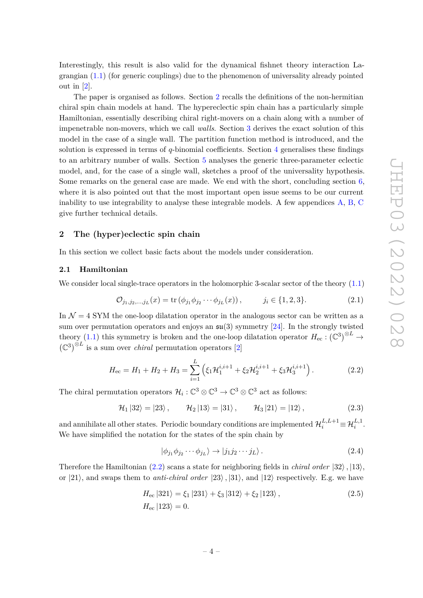Interestingly, this result is also valid for the dynamical fishnet theory interaction Lagrangian  $(1.1)$  (for generic couplings) due to the phenomenon of universality already pointed out in [\[2\]](#page-30-1).

The paper is organised as follows. Section [2](#page-4-0) recalls the definitions of the non-hermitian chiral spin chain models at hand. The hypereclectic spin chain has a particularly simple Hamiltonian, essentially describing chiral right-movers on a chain along with a number of impenetrable non-movers, which we call *walls*. Section [3](#page-7-0) derives the exact solution of this model in the case of a single wall. The partition function method is introduced, and the solution is expressed in terms of *q*-binomial coefficients. Section [4](#page-13-0) generalises these findings to an arbitrary number of walls. Section [5](#page-19-0) analyses the generic three-parameter eclectic model, and, for the case of a single wall, sketches a proof of the universality hypothesis. Some remarks on the general case are made. We end with the short, concluding section [6,](#page-23-0) where it is also pointed out that the most important open issue seems to be our current inability to use integrability to analyse these integrable models. A few appendices [A,](#page-24-0) [B,](#page-25-0) [C](#page-29-0) give further technical details.

#### <span id="page-4-0"></span>**2 The (hyper)eclectic spin chain**

In this section we collect basic facts about the models under consideration.

# <span id="page-4-1"></span>**2.1 Hamiltonian**

We consider local single-trace operators in the holomorphic 3-scalar sector of the theory  $(1.1)$ 

$$
\mathcal{O}_{j_1, j_2, \dots, j_L}(x) = \text{tr}\left(\phi_{j_1}\phi_{j_2}\cdots\phi_{j_L}(x)\right), \qquad j_i \in \{1, 2, 3\}.
$$
 (2.1)

In  $\mathcal{N} = 4$  SYM the one-loop dilatation operator in the analogous sector can be written as a sum over permutation operators and enjoys an  $\mathfrak{su}(3)$  symmetry [\[24\]](#page-31-8). In the strongly twisted theory [\(1.1\)](#page-2-0) this symmetry is broken and the one-loop dilatation operator  $H_{\text{ec}}: (\mathbb{C}^3)^{\otimes L} \to$  $(\mathbb{C}^3)^{\otimes L}$  is a sum over *chiral* permutation operators [\[2\]](#page-30-1)

<span id="page-4-2"></span>
$$
H_{\rm ec} = H_1 + H_2 + H_3 = \sum_{i=1}^{L} \left( \xi_1 \mathcal{H}_1^{i,i+1} + \xi_2 \mathcal{H}_2^{i,i+1} + \xi_3 \mathcal{H}_3^{i,i+1} \right). \tag{2.2}
$$

The chiral permutation operators  $\mathcal{H}_i: \mathbb{C}^3 \otimes \mathbb{C}^3 \to \mathbb{C}^3 \otimes \mathbb{C}^3$  act as follows:

$$
\mathcal{H}_1 |32\rangle = |23\rangle, \qquad \mathcal{H}_2 |13\rangle = |31\rangle, \qquad \mathcal{H}_3 |21\rangle = |12\rangle, \tag{2.3}
$$

and annihilate all other states. Periodic boundary conditions are implemented  $\mathcal{H}^{L,L+1}_i\!\equiv\!\mathcal{H}^{L,1}_i.$ We have simplified the notation for the states of the spin chain by

$$
|\phi_{j_1}\phi_{j_2}\cdots\phi_{j_L}\rangle \to |j_1j_2\cdots j_L\rangle. \tag{2.4}
$$

Therefore the Hamiltonian [\(2.2\)](#page-4-2) scans a state for neighboring fields in *chiral order*  $|32\rangle$ ,  $|13\rangle$ , or  $|21\rangle$ , and swaps them to *anti-chiral order*  $|23\rangle$ ,  $|31\rangle$ , and  $|12\rangle$  respectively. E.g. we have

$$
H_{\rm ec} |321\rangle = \xi_1 |231\rangle + \xi_3 |312\rangle + \xi_2 |123\rangle, \qquad (2.5)
$$
  

$$
H_{\rm ec} |123\rangle = 0.
$$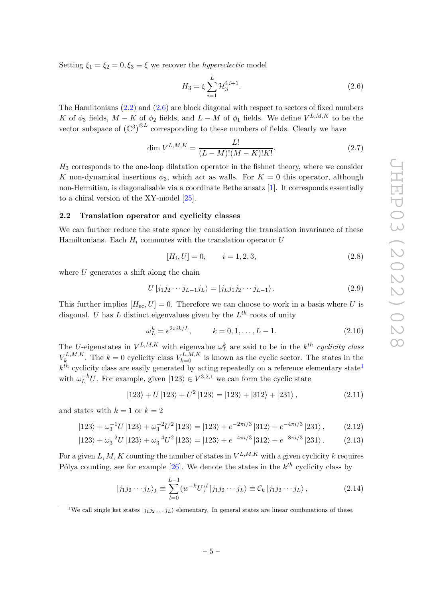Setting  $\xi_1 = \xi_2 = 0, \xi_3 \equiv \xi$  we recover the *hypereclectic* model

<span id="page-5-1"></span>
$$
H_3 = \xi \sum_{i=1}^{L} \mathcal{H}_3^{i,i+1}.
$$
 (2.6)

The Hamiltonians [\(2.2\)](#page-4-2) and [\(2.6\)](#page-5-1) are block diagonal with respect to sectors of fixed numbers *K* of  $\phi_3$  fields, *M* − *K* of  $\phi_2$  fields, and *L* − *M* of  $\phi_1$  fields. We define *V*<sup>*L*,*M*,*K*</sup> to be the vector subspace of  $(\mathbb{C}^3)^{\otimes L}$  corresponding to these numbers of fields. Clearly we have

$$
\dim V^{L,M,K} = \frac{L!}{(L-M)!(M-K)!K!}.
$$
\n(2.7)

*H*<sup>3</sup> corresponds to the one-loop dilatation operator in the fishnet theory, where we consider *K* non-dynamical insertions  $\phi_3$ , which act as walls. For  $K = 0$  this operator, although non-Hermitian, is diagonalisable via a coordinate Bethe ansatz [\[1\]](#page-30-0). It corresponds essentially to a chiral version of the XY-model [\[25\]](#page-31-9).

#### <span id="page-5-0"></span>**2.2 Translation operator and cyclicity classes**

We can further reduce the state space by considering the translation invariance of these Hamiltonians. Each  $H_i$  commutes with the translation operator  $U$ 

$$
[H_i, U] = 0, \qquad i = 1, 2, 3,
$$
\n<sup>(2.8)</sup>

where *U* generates a shift along the chain

$$
U|j_1j_2\cdots j_{L-1}j_L\rangle = |j_Lj_1j_2\cdots j_{L-1}\rangle.
$$
\n(2.9)

This further implies  $[H_{\text{ec}}, U] = 0$ . Therefore we can choose to work in a basis where *U* is diagonal. *U* has *L* distinct eigenvalues given by the *L th* roots of unity

$$
\omega_L^k = e^{2\pi i k/L}, \qquad k = 0, 1, \dots, L - 1.
$$
 (2.10)

The *U*-eigenstates in  $V^{L,M,K}$  with eigenvalue  $\omega_L^k$  are said to be in the *k*<sup>th</sup> *cyclicity class*  $V_k^{L,M,K}$  $V_k^{L,M,K}$ . The  $k=0$  cyclicity class  $V_{k=0}^{L,M,K}$  is known as the cyclic sector. The states in the  $k^{th}$  cyclicity class are easily generated by acting repeatedly on a reference elementary state<sup>[1](#page-5-2)</sup> with  $\omega_L^{-k}U$ . For example, given  $|123\rangle \in V^{3,2,1}$  we can form the cyclic state

$$
|123\rangle + U|123\rangle + U^2|123\rangle = |123\rangle + |312\rangle + |231\rangle, \qquad (2.11)
$$

and states with  $k = 1$  or  $k = 2$ 

$$
|123\rangle + \omega_3^{-1}U|123\rangle + \omega_3^{-2}U^2|123\rangle = |123\rangle + e^{-2\pi i/3}|312\rangle + e^{-4\pi i/3}|231\rangle, \qquad (2.12)
$$

$$
|123\rangle + \omega_3^{-2}U|123\rangle + \omega_3^{-4}U^2|123\rangle = |123\rangle + e^{-4\pi i/3}|312\rangle + e^{-8\pi i/3}|231\rangle. \tag{2.13}
$$

For a given  $L, M, K$  counting the number of states in  $V^{L,M,K}$  with a given cyclicity  $k$  requires Pólya counting, see for example [\[26\]](#page-31-10). We denote the states in the *k th* cyclicity class by

<span id="page-5-3"></span>
$$
|j_1 j_2 \cdots j_L\rangle_k \equiv \sum_{l=0}^{L-1} (w^{-k} U)^l |j_1 j_2 \cdots j_L\rangle \equiv \mathcal{C}_k |j_1 j_2 \cdots j_L\rangle, \qquad (2.14)
$$

<span id="page-5-2"></span><sup>1</sup>We call single ket states  $|i_1 i_2 \ldots i_l\rangle$  elementary. In general states are linear combinations of these.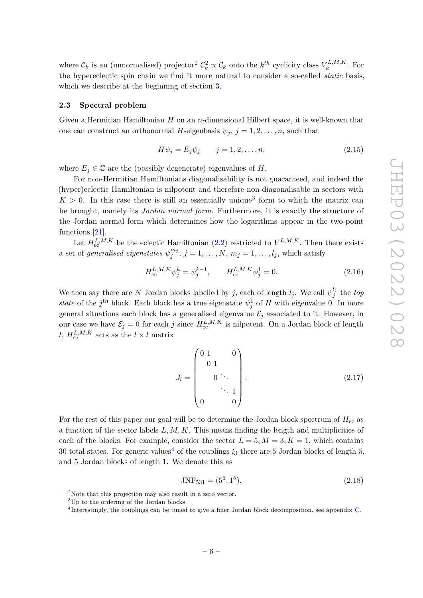where  $\mathcal{C}_k$  is an (unnormalised) projector<sup>[2](#page-6-1)</sup>  $\mathcal{C}_k^2 \propto \mathcal{C}_k$  onto the  $k^{th}$  cyclicity class  $V_k^{L,M,K}$  $k^{L,M,\Lambda}$ . For the hypereclectic spin chain we find it more natural to consider a so-called *static* basis, which we describe at the beginning of section [3.](#page-7-0)

#### <span id="page-6-0"></span>**2.3 Spectral problem**

Given a Hermitian Hamiltonian *H* on an *n*-dimensional Hilbert space, it is well-known that one can construct an orthonormal *H*-eigenbasis  $\psi_j$ ,  $j = 1, 2, \ldots, n$ , such that

$$
H\psi_j = E_j \psi_j \qquad j = 1, 2, \dots, n,\tag{2.15}
$$

where  $E_i \in \mathbb{C}$  are the (possibly degenerate) eigenvalues of *H*.

For non-Hermitian Hamiltonians diagonalisability is not guaranteed, and indeed the (hyper)eclectic Hamiltonian is nilpotent and therefore non-diagonalisable in sectors with  $K > 0$ . In this case there is still an essentially unique<sup>[3](#page-6-2)</sup> form to which the matrix can be brought, namely its *Jordan normal form*. Furthermore, it is exactly the structure of the Jordan normal form which determines how the logarithms appear in the two-point functions [\[21\]](#page-31-5).

Let  $H_{\text{ec}}^{L,M,K}$  be the eclectic Hamiltonian [\(2.2\)](#page-4-2) restricted to  $V^{L,M,K}$ . Then there exists a set of *generalised eigenstates*  $\psi_j^{m_j}$  $j^{m_j}$ ,  $j = 1, \ldots, N$ ,  $m_j = 1, \ldots, l_j$ , which satisfy

$$
H_{\rm ec}^{L,M,K} \psi_j^k = \psi_j^{k-1}, \qquad H_{\rm ec}^{L,M,K} \psi_j^1 = 0.
$$
 (2.16)

We then say there are *N* Jordan blocks labelled by *j*, each of length  $l_j$ . We call  $\psi_j^{\ell_j}$ *j* the *top state* of the *j*<sup>th</sup> block. Each block has a true eigenstate  $\psi_j^1$  of *H* with eigenvalue 0. In more general situations each block has a generalised eigenvalue  $\mathcal{E}_j$  associated to it. However, in our case we have  $\mathcal{E}_j = 0$  for each *j* since  $H_{\text{ec}}^{L,M,K}$  is nilpotent. On a Jordan block of length *l*,  $H_{\text{ec}}^{L,M,K}$  acts as the  $l \times l$  matrix

$$
J_l = \begin{pmatrix} 0 & 1 & 0 \\ 0 & 1 & 0 \\ 0 & \ddots & 0 \\ 0 & 0 & 0 \end{pmatrix} .
$$
 (2.17)

For the rest of this paper our goal will be to determine the Jordan block spectrum of  $H_{\text{ec}}$  as a function of the sector labels *L, M, K*. This means finding the length and multiplicities of each of the blocks. For example, consider the sector  $L = 5, M = 3, K = 1$ , which contains 30 total states. For generic values<sup>[4](#page-6-3)</sup> of the couplings  $\xi_i$  there are 5 Jordan blocks of length 5, and 5 Jordan blocks of length 1. We denote this as

$$
JNF_{531} = (5^5, 1^5). \tag{2.18}
$$

<span id="page-6-1"></span><sup>2</sup>Note that this projection may also result in a zero vector.

<span id="page-6-2"></span> $^3 \text{Up}$  to the ordering of the Jordan blocks.

<span id="page-6-3"></span><sup>4</sup> Interestingly, the couplings can be tuned to give a finer Jordan block decomposition, see appendix [C.](#page-29-0)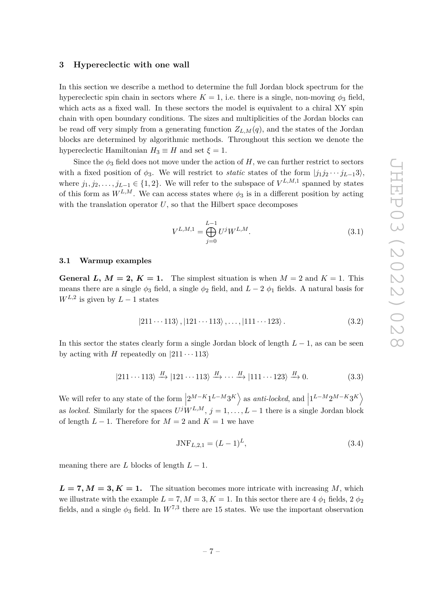# <span id="page-7-0"></span>**3 Hypereclectic with one wall**

In this section we describe a method to determine the full Jordan block spectrum for the hypereclectic spin chain in sectors where  $K = 1$ , i.e. there is a single, non-moving  $\phi_3$  field, which acts as a fixed wall. In these sectors the model is equivalent to a chiral XY spin chain with open boundary conditions. The sizes and multiplicities of the Jordan blocks can be read off very simply from a generating function  $Z_{L,M}(q)$ , and the states of the Jordan blocks are determined by algorithmic methods. Throughout this section we denote the hypereclectic Hamiltonian  $H_3 \equiv H$  and set  $\xi = 1$ .

Since the  $\phi_3$  field does not move under the action of *H*, we can further restrict to sectors with a fixed position of  $\phi_3$ . We will restrict to *static* states of the form  $|j_1j_2 \cdots j_{L-1}3\rangle$ , where  $j_1, j_2, \ldots, j_{L-1} \in \{1, 2\}$ . We will refer to the subspace of  $V^{L,M,1}$  spanned by states of this form as  $W^{L,M}$ . We can access states where  $\phi_3$  is in a different position by acting with the translation operator  $U$ , so that the Hilbert space decomposes

<span id="page-7-2"></span>
$$
V^{L,M,1} = \bigoplus_{j=0}^{L-1} U^j W^{L,M}.
$$
\n(3.1)

# <span id="page-7-1"></span>**3.1 Warmup examples**

**General** *L*,  $M = 2$ ,  $K = 1$ . The simplest situation is when  $M = 2$  and  $K = 1$ . This means there are a single  $\phi_3$  field, a single  $\phi_2$  field, and  $L-2$   $\phi_1$  fields. A natural basis for  $W^{L,2}$  is given by  $L-1$  states

$$
|211 \cdots 113 \rangle, |121 \cdots 113 \rangle, \ldots, |111 \cdots 123 \rangle. \tag{3.2}
$$

In this sector the states clearly form a single Jordan block of length *L* − 1, as can be seen by acting with *H* repeatedly on  $|211 \cdots 113\rangle$ 

$$
|211 \cdots 113\rangle \xrightarrow{H} |121 \cdots 113\rangle \xrightarrow{H} \cdots \xrightarrow{H} |111 \cdots 123\rangle \xrightarrow{H} 0. \tag{3.3}
$$

We will refer to any state of the form  $\left|2^{M-K}1^{L-M}3^{K}\right\rangle$  as *anti-locked*, and  $\left|1^{L-M}2^{M-K}3^{K}\right\rangle$  $\begin{bmatrix} 1 & 1 & 0 \\ 0 & 1 & 0 \\ 0 & 0 & 1 \end{bmatrix}$ as *locked*. Similarly for the spaces  $U^{j}W^{L,M}$ ,  $j = 1, \ldots, L-1$  there is a single Jordan block of length  $L - 1$ . Therefore for  $M = 2$  and  $K = 1$  we have

$$
JNF_{L,2,1} = (L-1)^L,\t\t(3.4)
$$

meaning there are *L* blocks of length  $L - 1$ .

 $L = 7, M = 3, K = 1$ . The situation becomes more intricate with increasing *M*, which we illustrate with the example  $L = 7, M = 3, K = 1$ . In this sector there are 4  $\phi_1$  fields, 2  $\phi_2$ fields, and a single  $\phi_3$  field. In  $W^{7,3}$  there are 15 states. We use the important observation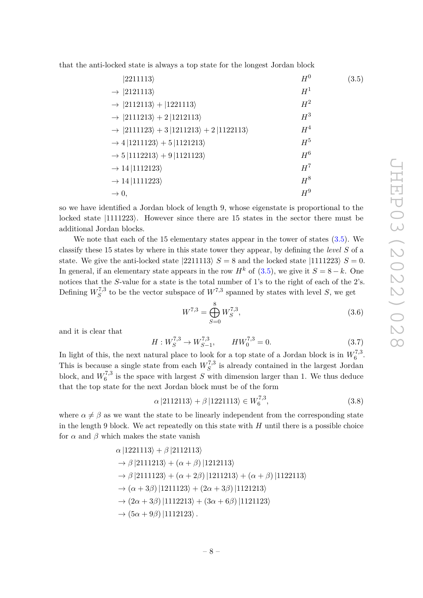that the anti-locked state is always a top state for the longest Jordan block

<span id="page-8-0"></span>

| $ 2211113\rangle$                                                  | $H^0$ | (3.5) |
|--------------------------------------------------------------------|-------|-------|
| $\rightarrow$  2121113)                                            | $H^1$ |       |
| $\rightarrow$  2112113) +  1221113)                                | $H^2$ |       |
| $\rightarrow$  2111213) + 2  1212113)                              | $H^3$ |       |
| $\rightarrow$  2111123\times\) + 3  1211213\times\) + 2  1122113\) | $H^4$ |       |
| $\rightarrow$ 4  1211123 $\rangle + 5$  1121213 $\rangle$          | $H^5$ |       |
| $\rightarrow$ 5  1112213 $\rangle$ + 9  1121123 $\rangle$          | $H^6$ |       |
| $\rightarrow$ 14   1112123)                                        | $H^7$ |       |
| $\rightarrow$ 14   1111223)                                        | $H^8$ |       |
| $\rightarrow 0,$                                                   | $H^9$ |       |

so we have identified a Jordan block of length 9, whose eigenstate is proportional to the locked state  $|1111223\rangle$ . However since there are 15 states in the sector there must be additional Jordan blocks.

We note that each of the 15 elementary states appear in the tower of states [\(3.5\)](#page-8-0). We classify these 15 states by where in this state tower they appear, by defining the *level S* of a state. We give the anti-locked state  $|2211113\rangle S = 8$  and the locked state  $|1111223\rangle S = 0$ . In general, if an elementary state appears in the row  $H^k$  of [\(3.5\)](#page-8-0), we give it  $S = 8 - k$ . One notices that the *S*-value for a state is the total number of 1's to the right of each of the 2's. Defining  $W_S^{7,3}$  $S<sup>7,3</sup>$  to be the vector subspace of  $W<sup>7,3</sup>$  spanned by states with level *S*, we get

$$
W^{7,3} = \bigoplus_{S=0}^{8} W_S^{7,3},\tag{3.6}
$$

and it is clear that

$$
H: W_S^{7,3} \to W_{S-1}^{7,3}, \qquad HW_0^{7,3} = 0. \tag{3.7}
$$

In light of this, the next natural place to look for a top state of a Jordan block is in  $W_6^{7,3}$  $\begin{matrix} 6 \ 6 \end{matrix}$ . This is because a single state from each  $W_S^{7,3}$  $S<sup>I,3</sup>$  is already contained in the largest Jordan block, and  $W_6^{7,3}$  $\epsilon_6^{6,5}$  is the space with largest *S* with dimension larger than 1. We thus deduce that the top state for the next Jordan block must be of the form

$$
\alpha |2112113\rangle + \beta |1221113\rangle \in W_6^{7,3},\tag{3.8}
$$

where  $\alpha \neq \beta$  as we want the state to be linearly independent from the corresponding state in the length 9 block. We act repeatedly on this state with  $H$  until there is a possible choice for  $\alpha$  and  $\beta$  which makes the state vanish

$$
\alpha |1221113\rangle + \beta |2112113\rangle
$$
  
\n
$$
\rightarrow \beta |2111213\rangle + (\alpha + \beta) |1212113\rangle
$$
  
\n
$$
\rightarrow \beta |2111123\rangle + (\alpha + 2\beta) |1211213\rangle + (\alpha + \beta) |1122113\rangle
$$
  
\n
$$
\rightarrow (\alpha + 3\beta) |1211123\rangle + (2\alpha + 3\beta) |1121213\rangle
$$
  
\n
$$
\rightarrow (2\alpha + 3\beta) |1112213\rangle + (3\alpha + 6\beta) |1121123\rangle
$$
  
\n
$$
\rightarrow (5\alpha + 9\beta) |1112123\rangle.
$$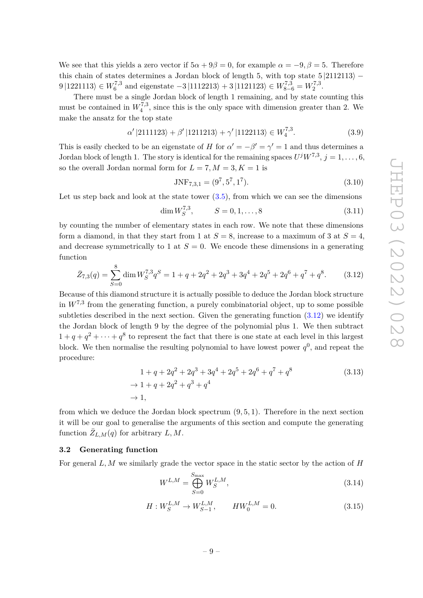We see that this yields a zero vector if  $5\alpha + 9\beta = 0$ , for example  $\alpha = -9, \beta = 5$ . Therefore this chain of states determines a Jordan block of length 5, with top state  $5 |2112113\rangle$  −  $9 |1221113\rangle \in W_6^{7,3}$  $W_{6}^{7,3}$  and eigenstate  $-3 |1112213\rangle + 3 |1121123\rangle \in W_{8-6}^{7,3} = W_{2}^{7,3}$  $2^{7,3}$ 

There must be a single Jordan block of length 1 remaining, and by state counting this must be contained in  $W_4^{7,3}$  $\mathcal{L}_4^{(1,3)}$ , since this is the only space with dimension greater than 2. We make the ansatz for the top state

$$
\alpha' |2111123\rangle + \beta' |1211213\rangle + \gamma' |1122113\rangle \in W_4^{7,3}.
$$
 (3.9)

This is easily checked to be an eigenstate of *H* for  $\alpha' = -\beta' = \gamma' = 1$  and thus determines a Jordan block of length 1. The story is identical for the remaining spaces  $U^jW^{7,3}$ ,  $j = 1, \ldots, 6$ , so the overall Jordan normal form for  $L = 7, M = 3, K = 1$  is

$$
JNF_{7,3,1} = (9^7, 5^7, 1^7). \tag{3.10}
$$

Let us step back and look at the state tower  $(3.5)$ , from which we can see the dimensions

$$
\dim W_S^{7,3}, \qquad S = 0, 1, \dots, 8 \tag{3.11}
$$

by counting the number of elementary states in each row. We note that these dimensions form a diamond, in that they start from 1 at  $S = 8$ , increase to a maximum of 3 at  $S = 4$ , and decrease symmetrically to 1 at  $S = 0$ . We encode these dimensions in a generating function

<span id="page-9-1"></span>
$$
\bar{Z}_{7,3}(q) = \sum_{S=0}^{8} \dim W_S^{7,3} q^S = 1 + q + 2q^2 + 2q^3 + 3q^4 + 2q^5 + 2q^6 + q^7 + q^8. \tag{3.12}
$$

Because of this diamond structure it is actually possible to deduce the Jordan block structure in  $W^{7,3}$  from the generating function, a purely combinatorial object, up to some possible subtleties described in the next section. Given the generating function [\(3.12\)](#page-9-1) we identify the Jordan block of length 9 by the degree of the polynomial plus 1. We then subtract  $1 + q + q^2 + \cdots + q^8$  to represent the fact that there is one state at each level in this largest block. We then normalise the resulting polynomial to have lowest power  $q^0$ , and repeat the procedure:

<span id="page-9-3"></span>
$$
1 + q + 2q^{2} + 2q^{3} + 3q^{4} + 2q^{5} + 2q^{6} + q^{7} + q^{8}
$$
\n
$$
\rightarrow 1 + q + 2q^{2} + q^{3} + q^{4}
$$
\n
$$
\rightarrow 1,
$$
\n(3.13)

from which we deduce the Jordan block spectrum (9*,* 5*,* 1). Therefore in the next section it will be our goal to generalise the arguments of this section and compute the generating function  $\bar{Z}_{L,M}(q)$  for arbitrary  $L, M$ .

## <span id="page-9-0"></span>**3.2 Generating function**

For general *L, M* we similarly grade the vector space in the static sector by the action of *H*

<span id="page-9-2"></span>
$$
W^{L,M} = \bigoplus_{S=0}^{S_{\text{max}}} W_S^{L,M},\tag{3.14}
$$

$$
H: W_S^{L,M} \to W_{S-1}^{L,M}, \qquad HW_0^{L,M} = 0.
$$
\n(3.15)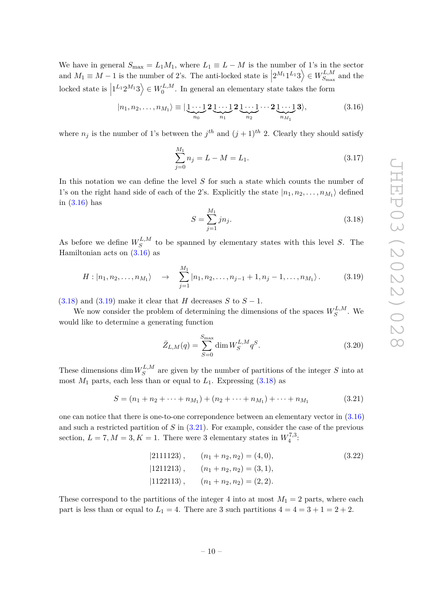We have in general  $S_{\text{max}} = L_1 M_1$ , where  $L_1 \equiv L - M$  is the number of 1's in the sector and  $M_1 \equiv M - 1$  is the number of 2's. The anti-locked state is  $\left|2^{M_1}1^{L_1}3\right\rangle \in W_{S_{\text{max}}}^{L,M}$  $\vert$  $S_{\text{max}}^{L,M}$  and the  $\left| 1^{L_1} 2^{M_1} 3 \right\rangle \in W_0^{L,M}$  $\int_0^{L,M}$ . In general an elementary state takes the form

<span id="page-10-0"></span>|*n*1*, n*2*, . . . , nM*<sup>1</sup> i ≡ | 1 · · · 1 | {z } *n*<sup>0</sup> **2** 1 · · · 1 | {z } *n*<sup>1</sup> **2** 1 · · · 1 | {z } *n*<sup>2</sup> · · · **2** 1 · · · 1 | {z } *nM*<sup>1</sup> **3**i*,* (3.16)

where  $n_j$  is the number of 1's between the  $j^{th}$  and  $(j+1)^{th}$  2. Clearly they should satisfy

$$
\sum_{j=0}^{M_1} n_j = L - M = L_1.
$$
\n(3.17)

In this notation we can define the level *S* for such a state which counts the number of 1's on the right hand side of each of the 2's. Explicitly the state  $|n_1, n_2, \ldots, n_{M_1}\rangle$  defined in [\(3.16\)](#page-10-0) has

<span id="page-10-1"></span>
$$
S = \sum_{j=1}^{M_1} j n_j.
$$
\n(3.18)

As before we define  $W_S^{L,M}$  $S^{L,M}$  to be spanned by elementary states with this level *S*. The Hamiltonian acts on [\(3.16\)](#page-10-0) as

<span id="page-10-2"></span>
$$
H: |n_1, n_2, \dots, n_{M_1} \rangle \rightarrow \sum_{j=1}^{M_1} |n_1, n_2, \dots, n_{j-1} + 1, n_j - 1, \dots, n_{M_1} \rangle. \tag{3.19}
$$

[\(3.18\)](#page-10-1) and [\(3.19\)](#page-10-2) make it clear that *H* decreases *S* to  $S - 1$ .

We now consider the problem of determining the dimensions of the spaces  $W_S^{L,M}$  $S^{L,M}$ . We would like to determine a generating function

$$
\bar{Z}_{L,M}(q) = \sum_{S=0}^{S_{\text{max}}} \dim W_S^{L,M} q^S.
$$
\n(3.20)

These dimensions  $\dim W_S^{L,M}$  $S^{L,M}$  are given by the number of partitions of the integer *S* into at most  $M_1$  parts, each less than or equal to  $L_1$ . Expressing  $(3.18)$  as

<span id="page-10-3"></span>
$$
S = (n_1 + n_2 + \dots + n_{M_1}) + (n_2 + \dots + n_{M_1}) + \dots + n_{M_1}
$$
\n(3.21)

one can notice that there is one-to-one correpondence between an elementary vector in [\(3.16\)](#page-10-0) and such a restricted partition of *S* in [\(3.21\)](#page-10-3). For example, consider the case of the previous section,  $L = 7, M = 3, K = 1$ . There were 3 elementary states in  $W_4^{7,3}$  $\frac{7}{4}$ :

$$
|2111123\rangle, \t (n_1 + n_2, n_2) = (4, 0), \t (3.22)
$$
  

$$
|1211213\rangle, \t (n_1 + n_2, n_2) = (3, 1), \t (1122113\rangle, \t (n_1 + n_2, n_2) = (2, 2).
$$

These correspond to the partitions of the integer 4 into at most  $M_1 = 2$  parts, where each part is less than or equal to  $L_1 = 4$ . There are 3 such partitions  $4 = 4 = 3 + 1 = 2 + 2$ .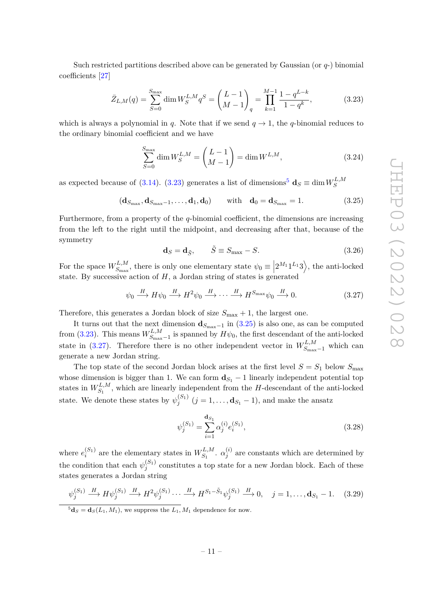Such restricted partitions described above can be generated by Gaussian (or *q*-) binomial coefficients [\[27\]](#page-31-11)

<span id="page-11-0"></span>
$$
\bar{Z}_{L,M}(q) = \sum_{S=0}^{S_{\text{max}}} \dim W_S^{L,M} q^S = \left(\frac{L-1}{M-1}\right)_q = \prod_{k=1}^{M-1} \frac{1-q^{L-k}}{1-q^k},\tag{3.23}
$$

which is always a polynomial in *q*. Note that if we send  $q \to 1$ , the *q*-binomial reduces to the ordinary binomial coefficient and we have

$$
\sum_{S=0}^{S_{\text{max}}} \dim W_S^{L,M} = \binom{L-1}{M-1} = \dim W^{L,M},\tag{3.24}
$$

as expected because of [\(3.14\)](#page-9-2). [\(3.23\)](#page-11-0) generates a list of dimensions<sup>[5](#page-11-1)</sup>  $\mathbf{d}_S \equiv \dim W_S^{L,M}$ *S*

<span id="page-11-2"></span>
$$
(\mathbf{d}_{S_{\max}}, \mathbf{d}_{S_{\max}-1}, \dots, \mathbf{d}_1, \mathbf{d}_0) \qquad \text{with} \quad \mathbf{d}_0 = \mathbf{d}_{S_{\max}} = 1. \tag{3.25}
$$

Furthermore, from a property of the *q*-binomial coefficient, the dimensions are increasing from the left to the right until the midpoint, and decreasing after that, because of the symmetry

$$
\mathbf{d}_S = \mathbf{d}_{\tilde{S}}, \qquad \tilde{S} \equiv S_{\text{max}} - S. \tag{3.26}
$$

For the space  $W^{L,M}_{S_{\text{max}}}$  $\chi_{S_{\text{max}}}^{L,M}$ , there is only one elementary state  $\psi_0 \equiv |2^{M_1}1^{L_1}3\rangle$ , the anti-locked state. By successive action of  $H$ , a Jordan string of states is generated

<span id="page-11-3"></span>
$$
\psi_0 \xrightarrow{H} H \psi_0 \xrightarrow{H} H^2 \psi_0 \xrightarrow{H} \cdots \xrightarrow{H} H^{S_{\text{max}}} \psi_0 \xrightarrow{H} 0. \tag{3.27}
$$

Therefore, this generates a Jordan block of size  $S_{\text{max}} + 1$ , the largest one.

It turns out that the next dimension  $\mathbf{d}_{S_{\text{max}}-1}$  in [\(3.25\)](#page-11-2) is also one, as can be computed from  $(3.23)$ . This means  $W_{S_{\text{max}}}^{L,M}$  $\frac{L M}{S_{\text{max}}-1}$  is spanned by  $H\psi_0$ , the first descendant of the anti-locked state in [\(3.27\)](#page-11-3). Therefore there is no other independent vector in  $W^{L,M}_{S_{\text{max}}-1}$  which can generate a new Jordan string.

The top state of the second Jordan block arises at the first level  $S = S_1$  below  $S_{\text{max}}$ whose dimension is bigger than 1. We can form  $\mathbf{d}_{S_1} - 1$  linearly independent potential top states in  $W^{L,M}_{S_1}$  $S_1^{L,M}$ , which are linearly independent from the *H*-descendant of the anti-locked state. We denote these states by  $\psi_i^{(S_1)}$  $j_j^{(S_1)}$   $(j = 1, ..., \mathbf{d}_{S_1} - 1)$ , and make the ansatz

$$
\psi_j^{(S_1)} = \sum_{i=1}^{\mathbf{d}_{S_1}} \alpha_j^{(i)} e_i^{(S_1)},\tag{3.28}
$$

where  $e_i^{(S_1)}$  $W^{(S_1)}_{i}$  are the elementary states in  $W^{L,M}_{S_1}$  $S_1^{L,M}$ .  $\alpha_j^{(i)}$  $j^{(i)}$  are constants which are determined by the condition that each  $\psi_i^{(S_1)}$  $j_j^{(51)}$  constitutes a top state for a new Jordan block. Each of these states generates a Jordan string

$$
\psi_j^{(S_1)} \xrightarrow{H} H \psi_j^{(S_1)} \xrightarrow{H} H^2 \psi_j^{(S_1)} \cdots \xrightarrow{H} H^{S_1 - \tilde{S}_1} \psi_j^{(S_1)} \xrightarrow{H} 0, \quad j = 1, \dots, \mathbf{d}_{S_1} - 1. \tag{3.29}
$$

<span id="page-11-1"></span> $\mathbf{5d}_S = \mathbf{d}_S(L_1, M_1)$ , we suppress the  $L_1, M_1$  dependence for now.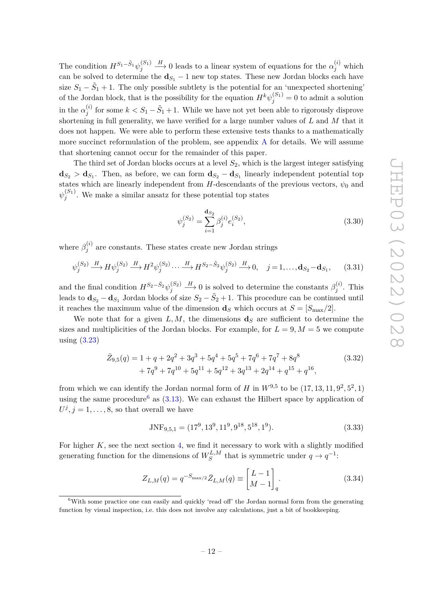The condition  $H^{S_1-\tilde{S}_1} \psi_i^{(S_1)}$ *j*  $\longrightarrow$  0 leads to a linear system of equations for the  $\alpha_j^{(i)}$  which can be solved to determine the  $\mathbf{d}_{S_1}$  – 1 new top states. These new Jordan blocks each have size  $S_1 - \tilde{S}_1 + 1$ . The only possible subtlety is the potential for an 'unexpected shortening' of the Jordan block, that is the possibility for the equation  $H^k \psi_j^{(S_1)} = 0$  to admit a solution in the  $\alpha_i^{(i)}$  $j_j^{(i)}$  for some  $k < S_1 - \tilde{S}_1 + 1$ . While we have not yet been able to rigorously disprove shortening in full generality, we have verified for a large number values of *L* and *M* that it does not happen. We were able to perform these extensive tests thanks to a mathematically more succinct reformulation of the problem, see appendix [A](#page-24-0) for details. We will assume that shortening cannot occur for the remainder of this paper.

The third set of Jordan blocks occurs at a level  $S_2$ , which is the largest integer satisfying  $\mathbf{d}_{S_2} > \mathbf{d}_{S_1}$ . Then, as before, we can form  $\mathbf{d}_{S_2} - \mathbf{d}_{S_1}$  linearly independent potential top states which are linearly independent from *H*-descendants of the previous vectors,  $\psi_0$  and  $\psi^{(S_1)}_i$  $j_j^{(01)}$ . We make a similar ansatz for these potential top states

$$
\psi_j^{(S_2)} = \sum_{i=1}^{\mathbf{d}_{S_2}} \beta_j^{(i)} e_i^{(S_2)},\tag{3.30}
$$

where  $\beta_i^{(i)}$  $j_j^{(i)}$  are constants. These states create new Jordan strings

$$
\psi_j^{(S_2)} \xrightarrow{H} H \psi_j^{(S_2)} \xrightarrow{H} H^2 \psi_j^{(S_2)} \cdots \xrightarrow{H} H^{S_2 - \tilde{S}_2} \psi_j^{(S_2)} \xrightarrow{H} 0, \quad j = 1, \dots, \mathbf{d}_{S_2} - \mathbf{d}_{S_1}, \tag{3.31}
$$

and the final condition  $H^{S_2-\tilde{S}_2}\psi_i^{(S_2)}$ *j*  $\stackrel{H}{\longrightarrow} 0$  is solved to determine the constants  $\beta_i^{(i)}$  $j^{(i)}$ . This leads to  $\mathbf{d}_{S_2} - \mathbf{d}_{S_1}$  Jordan blocks of size  $S_2 - \tilde{S}_2 + 1$ . This procedure can be continued until it reaches the maximum value of the dimension **d**<sub>*S*</sub> which occurs at  $S = [S_{\text{max}}/2]$ .

We note that for a given  $L, M$ , the dimensions  $\mathbf{d}_S$  are sufficient to determine the sizes and multiplicities of the Jordan blocks. For example, for  $L = 9, M = 5$  we compute using [\(3.23\)](#page-11-0)

$$
\bar{Z}_{9,5}(q) = 1 + q + 2q^2 + 3q^3 + 5q^4 + 5q^5 + 7q^6 + 7q^7 + 8q^8
$$
\n
$$
+ 7q^9 + 7q^{10} + 5q^{11} + 5q^{12} + 3q^{13} + 2q^{14} + q^{15} + q^{16},
$$
\n(3.32)

from which we can identify the Jordan normal form of *H* in  $W^{9,5}$  to be  $(17, 13, 11, 9^2, 5^2, 1)$ using the same procedure<sup>[6](#page-12-0)</sup> as  $(3.13)$ . We can exhaust the Hilbert space by application of  $U^j, j = 1, \ldots, 8$ , so that overall we have

<span id="page-12-1"></span>
$$
JNF_{9,5,1} = (17^9, 13^9, 11^9, 9^{18}, 5^{18}, 1^9).
$$
\n(3.33)

For higher  $K$ , see the next section [4,](#page-13-0) we find it necessary to work with a slightly modified generating function for the dimensions of *W L,M*  $S^{L,M}$  that is symmetric under  $q \to q^{-1}$ :

<span id="page-12-2"></span>
$$
Z_{L,M}(q) = q^{-S_{\max/2}} \bar{Z}_{L,M}(q) \equiv \begin{bmatrix} L-1 \\ M-1 \end{bmatrix}_q.
$$
 (3.34)

<span id="page-12-0"></span><sup>&</sup>lt;sup>6</sup>With some practice one can easily and quickly 'read off' the Jordan normal form from the generating function by visual inspection, i.e. this does not involve any calculations, just a bit of bookkeeping.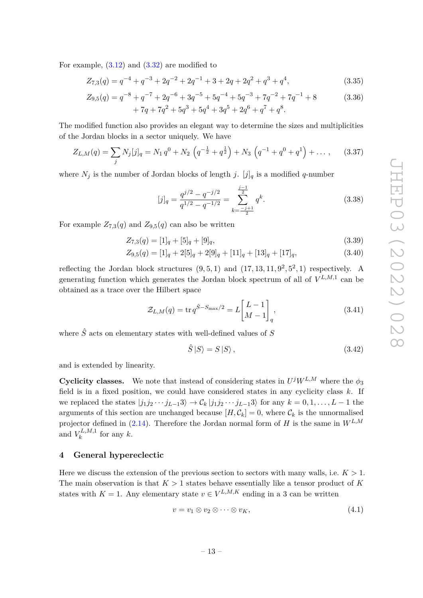For example,  $(3.12)$  and  $(3.32)$  are modified to

$$
Z_{7,3}(q) = q^{-4} + q^{-3} + 2q^{-2} + 2q^{-1} + 3 + 2q + 2q^{2} + q^{3} + q^{4},
$$
\n(3.35)

$$
Z_{9,5}(q) = q^{-8} + q^{-7} + 2q^{-6} + 3q^{-5} + 5q^{-4} + 5q^{-3} + 7q^{-2} + 7q^{-1} + 8
$$
\n
$$
+ 7q + 7q^{2} + 5q^{3} + 5q^{4} + 3q^{5} + 2q^{6} + q^{7} + q^{8}.
$$
\n(3.36)

The modified function also provides an elegant way to determine the sizes and multiplicities of the Jordan blocks in a sector uniquely. We have

<span id="page-13-3"></span>
$$
Z_{L,M}(q) = \sum_{j} N_j[j]_q = N_1 q^0 + N_2 \left( q^{-\frac{1}{2}} + q^{\frac{1}{2}} \right) + N_3 \left( q^{-1} + q^0 + q^1 \right) + \dots, \quad (3.37)
$$

where  $N_j$  is the number of Jordan blocks of length *j*. [*j*]<sub>*q*</sub> is a modified *q*-number

<span id="page-13-1"></span>
$$
[j]_q = \frac{q^{j/2} - q^{-j/2}}{q^{1/2} - q^{-1/2}} = \sum_{k = \frac{-j+1}{2}}^{\frac{j-1}{2}} q^k.
$$
 (3.38)

For example  $Z_{7,3}(q)$  and  $Z_{9,5}(q)$  can also be written

$$
Z_{7,3}(q) = [1]_q + [5]_q + [9]_q,\tag{3.39}
$$

$$
Z_{9,5}(q) = [1]_q + 2[5]_q + 2[9]_q + [11]_q + [13]_q + [17]_q,
$$
\n(3.40)

reflecting the Jordan block structures  $(9, 5, 1)$  and  $(17, 13, 11, 9^2, 5^2, 1)$  respectively. A generating function which generates the Jordan block spectrum of all of  $V^{L,M,1}$  can be obtained as a trace over the Hilbert space

$$
\mathcal{Z}_{L,M}(q) = \text{tr}\, q^{\hat{S}-S_{\text{max}}/2} = L \begin{bmatrix} L-1 \\ M-1 \end{bmatrix}_q,
$$
\n(3.41)

where  $\hat{S}$  acts on elementary states with well-defined values of  $S$ 

$$
\hat{S} \left| S \right\rangle = S \left| S \right\rangle,\tag{3.42}
$$

and is extended by linearity.

**Cyclicity classes.** We note that instead of considering states in  $U^{j}W^{L,M}$  where the  $\phi_3$ field is in a fixed position, we could have considered states in any cyclicity class *k*. If we replaced the states  $|j_1 j_2 \cdots j_{L-1} 3\rangle \rightarrow C_k | j_1 j_2 \cdots j_{L-1} 3\rangle$  for any  $k = 0, 1, \ldots, L-1$  the arguments of this section are unchanged because  $[H, \mathcal{C}_k] = 0$ , where  $\mathcal{C}_k$  is the unnormalised projector defined in [\(2.14\)](#page-5-3). Therefore the Jordan normal form of *H* is the same in *WL,M* and  $V_k^{L,M,1}$  $\int_k^{\mathcal{L},M,1}$  for any k.

# <span id="page-13-0"></span>**4 General hypereclectic**

Here we discuss the extension of the previous section to sectors with many walls, i.e.  $K > 1$ . The main observation is that *K >* 1 states behave essentially like a tensor product of *K* states with  $K = 1$ . Any elementary state  $v \in V^{L,M,K}$  ending in a 3 can be written

<span id="page-13-2"></span>
$$
v = v_1 \otimes v_2 \otimes \cdots \otimes v_K, \tag{4.1}
$$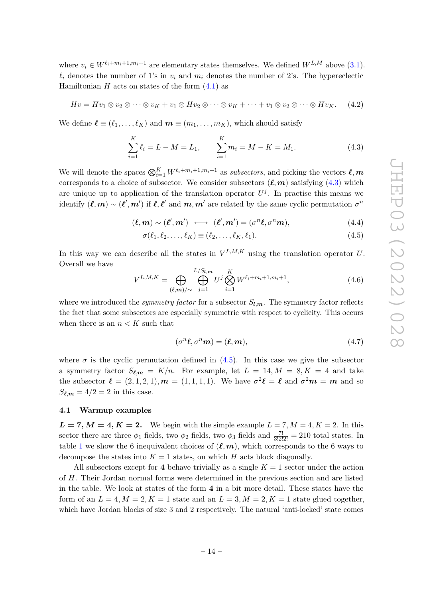where  $v_i \in W^{\ell_i+m_i+1,m_i+1}$  are elementary states themselves. We defined  $W^{L,M}$  above [\(3.1\)](#page-7-2).  $\ell_i$  denotes the number of 1's in  $v_i$  and  $m_i$  denotes the number of 2's. The hypereclectic Hamiltonian  $H$  acts on states of the form  $(4.1)$  as

$$
Hv = Hv_1 \otimes v_2 \otimes \cdots \otimes v_K + v_1 \otimes Hv_2 \otimes \cdots \otimes v_K + \cdots + v_1 \otimes v_2 \otimes \cdots \otimes Hv_K.
$$
 (4.2)

We define  $\ell \equiv (\ell_1, \ldots, \ell_K)$  and  $\mathbf{m} \equiv (m_1, \ldots, m_K)$ , which should satisfy

<span id="page-14-1"></span>
$$
\sum_{i=1}^{K} \ell_i = L - M = L_1, \qquad \sum_{i=1}^{K} m_i = M - K = M_1.
$$
 (4.3)

We will denote the spaces  $\bigotimes_{i=1}^{K} W^{\ell_i+m_i+1,m_i+1}$  as *subsectors*, and picking the vectors  $\ell, m$ corresponds to a choice of subsector. We consider subsectors  $(\ell, m)$  satisfying [\(4.3\)](#page-14-1) which are unique up to application of the translation operator  $U^j$ . In practise this means we identify  $(\ell, m) \sim (\ell', m')$  if  $\ell, \ell'$  and  $m, m'$  are related by the same cyclic permutation  $\sigma^n$ 

<span id="page-14-2"></span>
$$
(\ell, m) \sim (\ell', m') \iff (\ell', m') = (\sigma^n \ell, \sigma^n m), \tag{4.4}
$$

$$
\sigma(\ell_1, \ell_2, \dots, \ell_K) \equiv (\ell_2, \dots, \ell_K, \ell_1). \tag{4.5}
$$

In this way we can describe all the states in  $V^{L,M,K}$  using the translation operator *U*. Overall we have  $L/CT$ 

$$
V^{L,M,K} = \bigoplus_{(\ell,m)/\sim} \bigoplus_{j=1}^{L/S_{l,m}} U^j \bigotimes_{i=1}^K W^{\ell_i+m_i+1,m_i+1},\tag{4.6}
$$

where we introduced the *symmetry factor* for a subsector  $S_{l,m}$ . The symmetry factor reflects the fact that some subsectors are especially symmetric with respect to cyclicity. This occurs when there is an  $n < K$  such that

$$
(\sigma^n \ell, \sigma^n \mathbf{m}) = (\ell, \mathbf{m}),\tag{4.7}
$$

where  $\sigma$  is the cyclic permutation defined in [\(4.5\)](#page-14-2). In this case we give the subsector a symmetry factor  $S_{\ell,m} = K/n$ . For example, let  $L = 14, M = 8, K = 4$  and take the subsector  $\ell = (2, 1, 2, 1), m = (1, 1, 1, 1).$  We have  $\sigma^2 \ell = \ell$  and  $\sigma^2 m = m$  and so  $S_{\ell,m} = 4/2 = 2$  in this case.

#### <span id="page-14-0"></span>**4.1 Warmup examples**

 $L = 7, M = 4, K = 2$ . We begin with the simple example  $L = 7, M = 4, K = 2$ . In this sector there are three  $\phi_1$  fields, two  $\phi_2$  fields, two  $\phi_3$  fields and  $\frac{7!}{3!2!2!} = 210$  total states. In table [1](#page-15-0) we show the 6 inequivalent choices of  $(\ell, m)$ , which corresponds to the 6 ways to decompose the states into  $K = 1$  states, on which *H* acts block diagonally.

All subsectors except for 4 behave trivially as a single  $K = 1$  sector under the action of *H*. Their Jordan normal forms were determined in the previous section and are listed in the table. We look at states of the form **4** in a bit more detail. These states have the form of an  $L = 4, M = 2, K = 1$  state and an  $L = 3, M = 2, K = 1$  state glued together, which have Jordan blocks of size 3 and 2 respectively. The natural 'anti-locked' state comes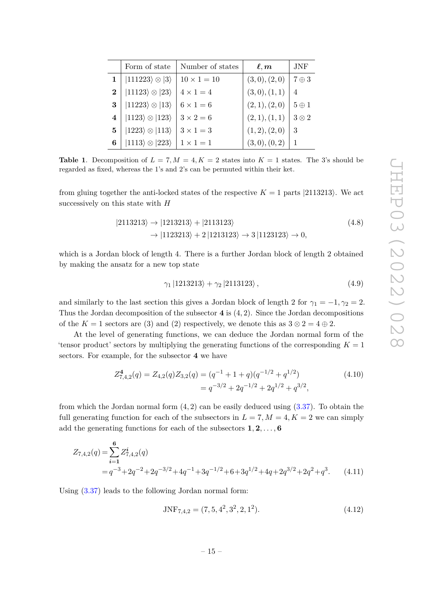|                | Form of state                      | Number of states   | $\ell,m$       | JNF            |
|----------------|------------------------------------|--------------------|----------------|----------------|
| 1 <sup>1</sup> | $ 111223\rangle \otimes  3\rangle$ | $10 \times 1 = 10$ | (3,0), (2,0)   | $7 \oplus 3$   |
| $\mathbf{2}$   | $ 11123\rangle \otimes  23\rangle$ | $4 \times 1 = 4$   | (3,0), (1,1)   | $\overline{4}$ |
| 3              | $ 11223\rangle \otimes  13\rangle$ | $6 \times 1 = 6$   | (2,1), (2,0)   | $5 \oplus 1$   |
| $\overline{4}$ | $ 1123\rangle \otimes  123\rangle$ | $3 \times 2 = 6$   | (2,1), (1,1)   | $3 \otimes 2$  |
| 5              | $ 1223\rangle \otimes  113\rangle$ | $3 \times 1 = 3$   | (1, 2), (2, 0) | 3              |
|                | $ 1113\rangle \otimes  223\rangle$ | $1 \times 1 = 1$   | (3,0), (0,2)   |                |

<span id="page-15-0"></span>**Table 1.** Decomposition of  $L = 7, M = 4, K = 2$  states into  $K = 1$  states. The 3's should be regarded as fixed, whereas the 1's and 2's can be permuted within their ket.

from gluing together the anti-locked states of the respective  $K = 1$  parts  $|2113213\rangle$ . We act successively on this state with *H*

$$
|2113213\rangle \rightarrow |1213213\rangle + |2113123\rangle
$$
  

$$
\rightarrow |1123213\rangle + 2|1213123\rangle \rightarrow 3|1123123\rangle \rightarrow 0,
$$
 (4.8)

which is a Jordan block of length 4. There is a further Jordan block of length 2 obtained by making the ansatz for a new top state

$$
\gamma_1 |1213213\rangle + \gamma_2 |2113123\rangle, \qquad (4.9)
$$

and similarly to the last section this gives a Jordan block of length 2 for  $\gamma_1 = -1, \gamma_2 = 2$ . Thus the Jordan decomposition of the subsector **4** is (4*,* 2). Since the Jordan decompositions of the  $K = 1$  sectors are (3) and (2) respectively, we denote this as  $3 \otimes 2 = 4 \oplus 2$ .

At the level of generating functions, we can deduce the Jordan normal form of the 'tensor product' sectors by multiplying the generating functions of the corresponding  $K = 1$ sectors. For example, for the subsector **4** we have

$$
Z_{7,4,2}^{4}(q) = Z_{4,2}(q)Z_{3,2}(q) = (q^{-1} + 1 + q)(q^{-1/2} + q^{1/2})
$$
\n
$$
= q^{-3/2} + 2q^{-1/2} + 2q^{1/2} + q^{3/2},
$$
\n(4.10)

from which the Jordan normal form (4*,* 2) can be easily deduced using [\(3.37\)](#page-13-3). To obtain the full generating function for each of the subsectors in  $L = 7, M = 4, K = 2$  we can simply add the generating functions for each of the subsectors **1***,* **2***, . . . ,* **6**

$$
Z_{7,4,2}(q) = \sum_{i=1}^{6} Z_{7,4,2}^{i}(q)
$$
  
=  $q^{-3} + 2q^{-2} + 2q^{-3/2} + 4q^{-1} + 3q^{-1/2} + 6 + 3q^{1/2} + 4q + 2q^{3/2} + 2q^{2} + q^{3}$ . (4.11)

Using [\(3.37\)](#page-13-3) leads to the following Jordan normal form:

<span id="page-15-2"></span><span id="page-15-1"></span>
$$
JNF_{7,4,2} = (7, 5, 4^2, 3^2, 2, 1^2). \tag{4.12}
$$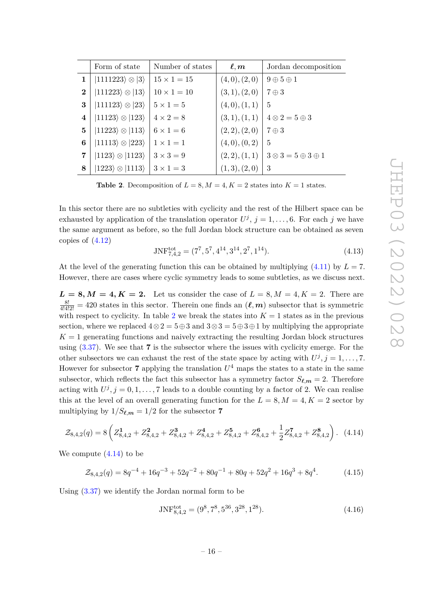|                | Form of state                       | Number of states   | $\boldsymbol{\ell},\boldsymbol{m}$ | Jordan decomposition                                 |
|----------------|-------------------------------------|--------------------|------------------------------------|------------------------------------------------------|
| 1              | $ 1111223\rangle \otimes  3\rangle$ | $15 \times 1 = 15$ | (4,0), (2,0)                       | $9 \oplus 5 \oplus 1$                                |
| $\bf{2}$       | $ 111223\rangle \otimes  13\rangle$ | $10 \times 1 = 10$ | (3,1), (2,0)                       | $7 \oplus 3$                                         |
| 3              | $ 111123\rangle \otimes  23\rangle$ | $5 \times 1 = 5$   | (4,0), (1,1)                       | $\frac{5}{2}$                                        |
| $\overline{4}$ | $ 11123\rangle \otimes  123\rangle$ | $4 \times 2 = 8$   | (3,1), (1,1)                       | $4 \otimes 2 = 5 \oplus 3$                           |
| 5              | $ 11223\rangle \otimes  113\rangle$ | $6 \times 1 = 6$   | (2, 2), (2, 0)                     | $7 \oplus 3$                                         |
| 6              | $ 11113\rangle \otimes  223\rangle$ | $1 \times 1 = 1$   | (4,0), (0,2)                       | 5                                                    |
| 7              | $ 1123\rangle \otimes  1123\rangle$ | $3 \times 3 = 9$   |                                    | $(2,2), (1,1)$   $3 \otimes 3 = 5 \oplus 3 \oplus 1$ |
| 8              | $ 1223\rangle \otimes  1113\rangle$ | $3 \times 1 = 3$   | (1,3), (2,0)                       | 3                                                    |

<span id="page-16-0"></span>**Table 2**. Decomposition of  $L = 8$ ,  $M = 4$ ,  $K = 2$  states into  $K = 1$  states.

In this sector there are no subtleties with cyclicity and the rest of the Hilbert space can be exhausted by application of the translation operator  $U^j$ ,  $j = 1, \ldots, 6$ . For each *j* we have the same argument as before, so the full Jordan block structure can be obtained as seven copies of [\(4.12\)](#page-15-1)

$$
JNF_{7,4,2}^{\text{tot}} = (7^7, 5^7, 4^{14}, 3^{14}, 2^7, 1^{14}).
$$
\n(4.13)

At the level of the generating function this can be obtained by multiplying  $(4.11)$  by  $L = 7$ . However, there are cases where cyclic symmetry leads to some subtleties, as we discuss next.

 $L = 8, M = 4, K = 2$ . Let us consider the case of  $L = 8, M = 4, K = 2$ . There are  $\frac{8!}{4!4!2!} = 420$  states in this sector. Therein one finds an  $(\ell, m)$  subsector that is symmetric with respect to cyclicity. In table [2](#page-16-0) we break the states into  $K = 1$  states as in the previous section, where we replaced  $4 \otimes 2 = 5 \oplus 3$  and  $3 \otimes 3 = 5 \oplus 3 \oplus 1$  by multiplying the appropriate  $K = 1$  generating functions and naively extracting the resulting Jordan block structures using [\(3.37\)](#page-13-3). We see that **7** is the subsector where the issues with cyclicity emerge. For the other subsectors we can exhaust the rest of the state space by acting with  $U^j$ ,  $j = 1, \ldots, 7$ . However for subsector **7** applying the translation  $U^4$  maps the states to a state in the same subsector, which reflects the fact this subsector has a symmetry factor  $S_{\ell,m} = 2$ . Therefore acting with  $U^j$ ,  $j = 0, 1, \ldots, 7$  leads to a double counting by a factor of 2. We can realise this at the level of an overall generating function for the  $L = 8, M = 4, K = 2$  sector by multiplying by  $1/S_{\ell,m} = 1/2$  for the subsector **7** 

<span id="page-16-1"></span>
$$
\mathcal{Z}_{8,4,2}(q) = 8\left(Z_{8,4,2}^1 + Z_{8,4,2}^2 + Z_{8,4,2}^3 + Z_{8,4,2}^4 + Z_{8,4,2}^5 + Z_{8,4,2}^6 + \frac{1}{2}Z_{8,4,2}^7 + Z_{8,4,2}^8\right). \tag{4.14}
$$

We compute  $(4.14)$  to be

$$
\mathcal{Z}_{8,4,2}(q) = 8q^{-4} + 16q^{-3} + 52q^{-2} + 80q^{-1} + 80q + 52q^{2} + 16q^{3} + 8q^{4}.
$$
 (4.15)

Using [\(3.37\)](#page-13-3) we identify the Jordan normal form to be

$$
JNF_{8,4,2}^{\text{tot}} = (9^8, 7^8, 5^{36}, 3^{28}, 1^{28}).
$$
\n(4.16)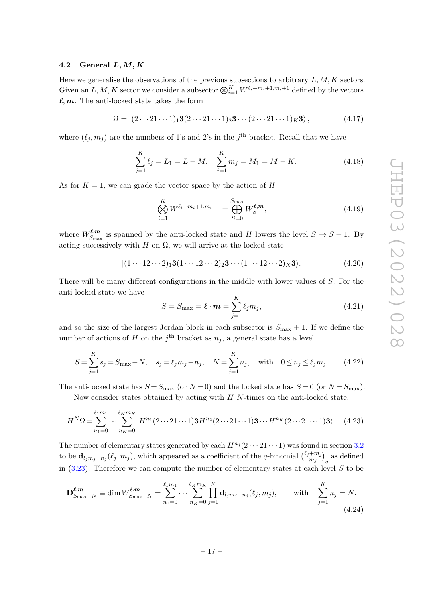#### <span id="page-17-0"></span>**4.2 General** *L, M, K*

Here we generalise the observations of the previous subsections to arbitrary *L, M, K* sectors. Given an  $L, M, K$  sector we consider a subsector  $\bigotimes_{i=1}^{K} W^{\ell_i+m_i+1, m_i+1}$  defined by the vectors  $\ell, m$ . The anti-locked state takes the form

$$
\Omega = |(2 \cdots 21 \cdots 1)_1 \mathbf{3}(2 \cdots 21 \cdots 1)_2 \mathbf{3} \cdots (2 \cdots 21 \cdots 1)_K \mathbf{3} \rangle, \tag{4.17}
$$

where  $(\ell_j, m_j)$  are the numbers of 1's and 2's in the *j*<sup>th</sup> bracket. Recall that we have

$$
\sum_{j=1}^{K} \ell_j = L_1 = L - M, \quad \sum_{j=1}^{K} m_j = M_1 = M - K. \tag{4.18}
$$

As for  $K = 1$ , we can grade the vector space by the action of  $H$ 

$$
\bigotimes_{i=1}^{K} W^{\ell_i + m_i + 1, m_i + 1} = \bigoplus_{S=0}^{S_{\text{max}}} W_S^{\ell, m}, \tag{4.19}
$$

where  $W^{\ell,m}_{S_{\text{max}}}$  $\mathcal{L}_{S_{\text{max}}}^{\ell,m}$  is spanned by the anti-locked state and *H* lowers the level  $S \to S - 1$ . By acting successively with *H* on  $\Omega$ , we will arrive at the locked state

$$
|(1 \cdots 12 \cdots 2)_1 \mathbf{3}(1 \cdots 12 \cdots 2)_2 \mathbf{3} \cdots (1 \cdots 12 \cdots 2)_K \mathbf{3} \rangle. \tag{4.20}
$$

There will be many different configurations in the middle with lower values of *S*. For the anti-locked state we have

$$
S = S_{\text{max}} = \ell \cdot \boldsymbol{m} = \sum_{j=1}^{K} \ell_j m_j,
$$
\n(4.21)

and so the size of the largest Jordan block in each subsector is  $S_{\text{max}} + 1$ . If we define the number of actions of *H* on the  $j^{\text{th}}$  bracket as  $n_j$ , a general state has a level

$$
S = \sum_{j=1}^{K} s_j = S_{\text{max}} - N, \quad s_j = \ell_j m_j - n_j, \quad N = \sum_{j=1}^{K} n_j, \quad \text{with} \quad 0 \le n_j \le \ell_j m_j. \tag{4.22}
$$

The anti-locked state has  $S = S_{\text{max}}$  (or  $N = 0$ ) and the locked state has  $S = 0$  (or  $N = S_{\text{max}}$ ).

Now consider states obtained by acting with *H N*-times on the anti-locked state,

$$
H^{N}\Omega = \sum_{n_{1}=0}^{\ell_{1}m_{1}} \cdots \sum_{n_{K}=0}^{\ell_{K}m_{K}} |H^{n_{1}}(2\cdots 21\cdots 1)\mathbf{3}H^{n_{2}}(2\cdots 21\cdots 1)\mathbf{3} \cdots H^{n_{K}}(2\cdots 21\cdots 1)\mathbf{3}\rangle. \tag{4.23}
$$

The number of elementary states generated by each  $H^{n_j}(2 \cdots 21 \cdots 1)$  was found in section [3.2](#page-9-0) to be  $\mathbf{d}_{l_jm_j-n_j}(\ell_j,m_j)$ , which appeared as a coefficient of the *q*-binomial  $\binom{\ell_j+m_j}{m_j}$  $\binom{+m_j}{m_j}_q$  as defined in [\(3.23\)](#page-11-0). Therefore we can compute the number of elementary states at each level *S* to be

<span id="page-17-1"></span>
$$
\mathbf{D}_{S_{\max}-N}^{\ell,m} \equiv \dim W_{S_{\max}-N}^{\ell,m} = \sum_{n_1=0}^{\ell_1 m_1} \cdots \sum_{n_K=0}^{\ell_K m_K} \prod_{j=1}^K \mathbf{d}_{l_j m_j - n_j}(\ell_j, m_j), \quad \text{with} \quad \sum_{j=1}^K n_j = N. \tag{4.24}
$$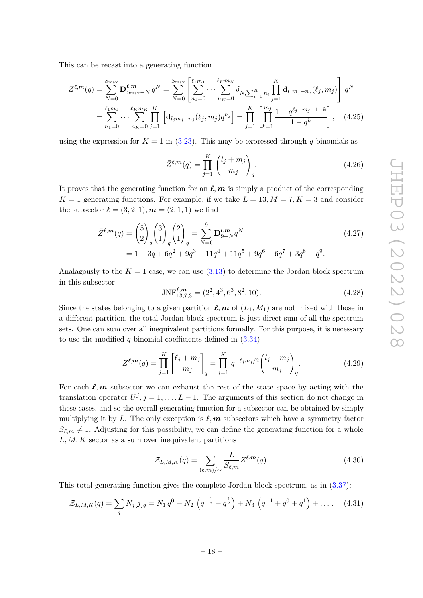This can be recast into a generating function

$$
\bar{Z}^{\ell,m}(q) = \sum_{N=0}^{S_{\text{max}}} \mathbf{D}^{\ell,m}_{S_{\text{max}}-N} q^N = \sum_{N=0}^{S_{\text{max}}} \left[ \sum_{n_1=0}^{\ell_1 m_1} \cdots \sum_{n_K=0}^{\ell_K m_K} \delta_{N, \sum_{i=1}^K n_i} \prod_{j=1}^K \mathbf{d}_{l_j m_j - n_j}(\ell_j, m_j) \right] q^N
$$
  
= 
$$
\sum_{n_1=0}^{\ell_1 m_1} \cdots \sum_{n_K=0}^{\ell_K m_K} \prod_{j=1}^K \left[ \mathbf{d}_{l_j m_j - n_j}(\ell_j, m_j) q^{n_j} \right] = \prod_{j=1}^K \left[ \prod_{k=1}^{m_j} \frac{1 - q^{\ell_j + m_j + 1 - k}}{1 - q^k} \right], \quad (4.25)
$$

using the expression for  $K = 1$  in  $(3.23)$ . This may be expressed through *q*-binomials as

$$
\bar{Z}^{\ell,m}(q) = \prod_{j=1}^{K} \binom{l_j + m_j}{m_j}_q.
$$
\n(4.26)

It proves that the generating function for an  $\ell, m$  is simply a product of the corresponding  $K = 1$  generating functions. For example, if we take  $L = 13, M = 7, K = 3$  and consider the subsector  $\ell = (3, 2, 1), m = (2, 1, 1)$  we find

$$
\bar{Z}^{\ell,m}(q) = \binom{5}{2}_q \binom{3}{1}_q \binom{2}{1}_q = \sum_{N=0}^9 \mathbf{D}_{9-N}^{l,m} q^N
$$
\n
$$
= 1 + 3q + 6q^2 + 9q^3 + 11q^4 + 11q^5 + 9q^6 + 6q^7 + 3q^8 + q^9. \tag{4.27}
$$

Analagously to the  $K = 1$  case, we can use  $(3.13)$  to determine the Jordan block spectrum in this subsector

$$
JNF_{13,7,3}^{\ell,m} = (2^2, 4^3, 6^3, 8^2, 10). \tag{4.28}
$$

Since the states belonging to a given partition  $\ell, m$  of  $(L_1, M_1)$  are not mixed with those in a different partition, the total Jordan block spectrum is just direct sum of all the spectrum sets. One can sum over all inequivalent partitions formally. For this purpose, it is necessary to use the modified *q*-binomial coefficients defined in [\(3.34\)](#page-12-2)

$$
Z^{\ell,m}(q) = \prod_{j=1}^{K} \binom{\ell_j + m_j}{m_j}_q = \prod_{j=1}^{K} q^{-\ell_j m_j/2} \binom{l_j + m_j}{m_j}_q.
$$
 (4.29)

For each  $\ell, m$  subsector we can exhaust the rest of the state space by acting with the translation operator  $U^j$ ,  $j = 1, ..., L - 1$ . The arguments of this section do not change in these cases, and so the overall generating function for a subsector can be obtained by simply multiplying it by L. The only exception is  $\ell, m$  subsectors which have a symmetry factor  $S_{\ell,m} \neq 1$ . Adjusting for this possibility, we can define the generating function for a whole *L, M, K* sector as a sum over inequivalent partitions

<span id="page-18-0"></span>
$$
\mathcal{Z}_{L,M,K}(q) = \sum_{(\ell,m)/\sim} \frac{L}{S_{\ell,m}} Z^{\ell,m}(q). \tag{4.30}
$$

This total generating function gives the complete Jordan block spectrum, as in [\(3.37\)](#page-13-3):

$$
\mathcal{Z}_{L,M,K}(q) = \sum_{j} N_j [j]_q = N_1 q^0 + N_2 \left( q^{-\frac{1}{2}} + q^{\frac{1}{2}} \right) + N_3 \left( q^{-1} + q^0 + q^1 \right) + \dots \quad (4.31)
$$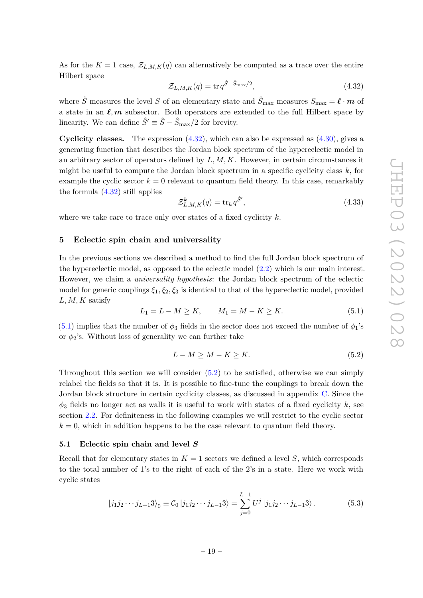As for the  $K = 1$  case,  $\mathcal{Z}_{L,M,K}(q)$  can alternatively be computed as a trace over the entire Hilbert space

<span id="page-19-2"></span>
$$
\mathcal{Z}_{L,M,K}(q) = \text{tr}\,q^{\hat{S}-\hat{S}_{\text{max}}/2},\tag{4.32}
$$

where  $\hat{S}$  measures the level *S* of an elementary state and  $\hat{S}_{\text{max}}$  measures  $S_{\text{max}} = \ell \cdot m$  of a state in an  $\ell, m$  subsector. Both operators are extended to the full Hilbert space by linearity. We can define  $\hat{S}' \equiv \hat{S} - \hat{S}_{\text{max}}/2$  for brevity.

**Cyclicity classes.** The expression [\(4.32\)](#page-19-2), which can also be expressed as [\(4.30\)](#page-18-0), gives a generating function that describes the Jordan block spectrum of the hypereclectic model in an arbitrary sector of operators defined by *L, M, K*. However, in certain circumstances it might be useful to compute the Jordan block spectrum in a specific cyclicity class *k*, for example the cyclic sector  $k = 0$  relevant to quantum field theory. In this case, remarkably the formula  $(4.32)$  still applies

$$
\mathcal{Z}_{L,M,K}^{k}(q) = \text{tr}_{k} q^{\hat{S}'},\tag{4.33}
$$

where we take care to trace only over states of a fixed cyclicity *k*.

#### <span id="page-19-0"></span>**5 Eclectic spin chain and universality**

In the previous sections we described a method to find the full Jordan block spectrum of the hypereclectic model, as opposed to the eclectic model [\(2.2\)](#page-4-2) which is our main interest. However, we claim a *universality hypothesis*: the Jordan block spectrum of the eclectic model for generic couplings  $\xi_1, \xi_2, \xi_3$  is identical to that of the hypereclectic model, provided *L, M, K* satisfy

<span id="page-19-3"></span>
$$
L_1 = L - M \ge K, \qquad M_1 = M - K \ge K. \tag{5.1}
$$

 $(5.1)$  implies that the number of  $\phi_3$  fields in the sector does not exceed the number of  $\phi_1$ 's or  $\phi_2$ 's. Without loss of generality we can further take

<span id="page-19-4"></span>
$$
L - M \ge M - K \ge K. \tag{5.2}
$$

Throughout this section we will consider  $(5.2)$  to be satisfied, otherwise we can simply relabel the fields so that it is. It is possible to fine-tune the couplings to break down the Jordan block structure in certain cyclicity classes, as discussed in appendix [C.](#page-29-0) Since the  $\phi_3$  fields no longer act as walls it is useful to work with states of a fixed cyclicity  $k$ , see section [2.2.](#page-5-0) For definiteness in the following examples we will restrict to the cyclic sector  $k = 0$ , which in addition happens to be the case relevant to quantum field theory.

#### <span id="page-19-1"></span>**5.1 Eclectic spin chain and level** *S*

Recall that for elementary states in  $K = 1$  sectors we defined a level *S*, which corresponds to the total number of 1's to the right of each of the 2's in a state. Here we work with cyclic states

<span id="page-19-5"></span>
$$
|j_1 j_2 \cdots j_{L-1} 3 \rangle_0 \equiv C_0 |j_1 j_2 \cdots j_{L-1} 3 \rangle = \sum_{j=0}^{L-1} U^j |j_1 j_2 \cdots j_{L-1} 3 \rangle.
$$
 (5.3)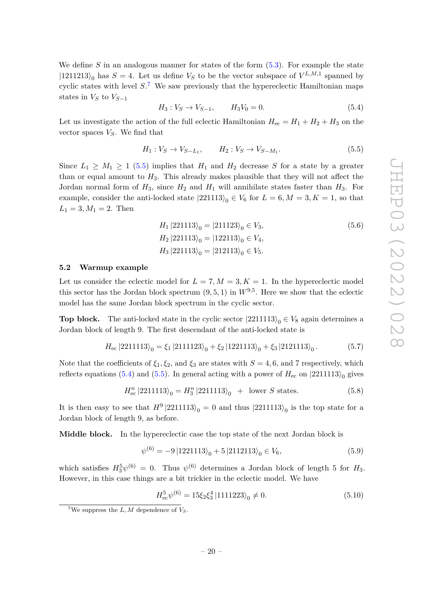We define *S* in an analogous manner for states of the form [\(5.3\)](#page-19-5). For example the state  $|1211213\rangle_0$  has  $S = 4$ . Let us define  $V_S$  to be the vector subspace of  $V^{L,M,1}$  spanned by cyclic states with level *S*. [7](#page-20-1) We saw previously that the hypereclectic Hamiltonian maps states in  $V_S$  to  $V_{S-1}$ 

<span id="page-20-3"></span>
$$
H_3: V_S \to V_{S-1}, \qquad H_3 V_0 = 0. \tag{5.4}
$$

Let us investigate the action of the full eclectic Hamiltonian  $H_{ec} = H_1 + H_2 + H_3$  on the vector spaces *VS*. We find that

<span id="page-20-2"></span>
$$
H_1: V_S \to V_{S-L_1}, \qquad H_2: V_S \to V_{S-M_1}.
$$
\n
$$
(5.5)
$$

Since  $L_1 \geq M_1 \geq 1$  [\(5.5\)](#page-20-2) implies that  $H_1$  and  $H_2$  decrease S for a state by a greater than or equal amount to  $H_3$ . This already makes plausible that they will not affect the Jordan normal form of  $H_3$ , since  $H_2$  and  $H_1$  will annihilate states faster than  $H_3$ . For example, consider the anti-locked state  $|221113\rangle_0 \in V_6$  for  $L = 6, M = 3, K = 1$ , so that  $L_1 = 3, M_1 = 2$ . Then

$$
H_1 |221113\rangle_0 = |211123\rangle_0 \in V_3,
$$
  
\n
$$
H_2 |221113\rangle_0 = |122113\rangle_0 \in V_4,
$$
  
\n
$$
H_3 |221113\rangle_0 = |212113\rangle_0 \in V_5.
$$
  
\n(5.6)

# <span id="page-20-0"></span>**5.2 Warmup example**

Let us consider the eclectic model for  $L = 7, M = 3, K = 1$ . In the hypereclectic model this sector has the Jordan block spectrum  $(9, 5, 1)$  in  $W^{9,5}$ . Here we show that the eclectic model has the same Jordan block spectrum in the cyclic sector.

**Top block.** The anti-locked state in the cyclic sector  $|2211113\rangle_0 \in V_8$  again determines a Jordan block of length 9. The first descendant of the anti-locked state is

$$
H_{\rm ec}\left|2211113\right\rangle_0 = \xi_1\left|2111123\right\rangle_0 + \xi_2\left|1221113\right\rangle_0 + \xi_3\left|2121113\right\rangle_0. \tag{5.7}
$$

Note that the coefficients of  $\xi_1, \xi_2$ , and  $\xi_3$  are states with  $S = 4, 6$ , and 7 respectively, which reflects equations [\(5.4\)](#page-20-3) and [\(5.5\)](#page-20-2). In general acting with a power of  $H_{\text{ec}}$  on  $|2211113\rangle_0$  gives

$$
H_{\rm ec}^n |2211113\rangle_0 = H_3^n |2211113\rangle_0 + \text{ lower } S \text{ states.} \tag{5.8}
$$

It is then easy to see that  $H^9 |2211113\rangle_0 = 0$  and thus  $|2211113\rangle_0$  is the top state for a Jordan block of length 9, as before.

**Middle block.** In the hypereclectic case the top state of the next Jordan block is

<span id="page-20-4"></span>
$$
\psi^{(6)} = -9 |1221113\rangle_0 + 5 |2112113\rangle_0 \in V_6,\tag{5.9}
$$

which satisfies  $H_3^5\psi^{(6)} = 0$ . Thus  $\psi^{(6)}$  determines a Jordan block of length 5 for  $H_3$ . However, in this case things are a bit trickier in the eclectic model. We have

<span id="page-20-5"></span>
$$
H_{\text{ec}}^{5}\psi^{(6)} = 15\xi_{2}\xi_{3}^{4} |1111223\rangle_{0} \neq 0. \tag{5.10}
$$

<span id="page-20-1"></span><sup>&</sup>lt;sup>7</sup>We suppress the *L*, *M* dependence of  $V_S$ .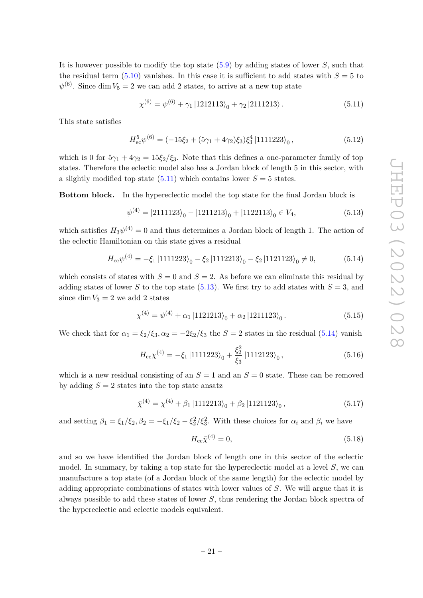It is however possible to modify the top state [\(5.9\)](#page-20-4) by adding states of lower *S*, such that the residual term  $(5.10)$  vanishes. In this case it is sufficient to add states with  $S = 5$  to  $\psi^{(6)}$ . Since dim  $V_5 = 2$  we can add 2 states, to arrive at a new top state

<span id="page-21-0"></span>
$$
\chi^{(6)} = \psi^{(6)} + \gamma_1 |1212113\rangle_0 + \gamma_2 |2111213\rangle. \tag{5.11}
$$

This state satisfies

$$
H_{ec}^{5}\psi^{(6)} = (-15\xi_2 + (5\gamma_1 + 4\gamma_2)\xi_3)\xi_3^4 |1111223\rangle_0, \qquad (5.12)
$$

which is 0 for  $5\gamma_1 + 4\gamma_2 = 15\xi_2/\xi_3$ . Note that this defines a one-parameter family of top states. Therefore the eclectic model also has a Jordan block of length 5 in this sector, with a slightly modified top state  $(5.11)$  which contains lower  $S = 5$  states.

**Bottom block.** In the hypereclectic model the top state for the final Jordan block is

<span id="page-21-1"></span>
$$
\psi^{(4)} = |2111123\rangle_0 - |1211213\rangle_0 + |1122113\rangle_0 \in V_4,\tag{5.13}
$$

which satisfies  $H_3\psi^{(4)} = 0$  and thus determines a Jordan block of length 1. The action of the eclectic Hamiltonian on this state gives a residual

<span id="page-21-2"></span>
$$
H_{\rm ec} \psi^{(4)} = -\xi_1 \left| 1111223 \right\rangle_0 - \xi_2 \left| 1112213 \right\rangle_0 - \xi_2 \left| 1121123 \right\rangle_0 \neq 0,\tag{5.14}
$$

which consists of states with  $S = 0$  and  $S = 2$ . As before we can eliminate this residual by adding states of lower *S* to the top state [\(5.13\)](#page-21-1). We first try to add states with  $S = 3$ , and since  $\dim V_3 = 2$  we add 2 states

$$
\chi^{(4)} = \psi^{(4)} + \alpha_1 |1121213\rangle_0 + \alpha_2 |1211123\rangle_0.
$$
\n(5.15)

We check that for  $\alpha_1 = \frac{\xi_2}{\xi_3}, \alpha_2 = -2\frac{\xi_2}{\xi_3}$  the  $S = 2$  states in the residual [\(5.14\)](#page-21-2) vanish

$$
H_{\rm ec} \chi^{(4)} = -\xi_1 \left| 1111223 \right\rangle_0 + \frac{\xi_2^2}{\xi_3} \left| 1112123 \right\rangle_0,\tag{5.16}
$$

which is a new residual consisting of an  $S = 1$  and an  $S = 0$  state. These can be removed by adding  $S = 2$  states into the top state ansatz

$$
\bar{\chi}^{(4)} = \chi^{(4)} + \beta_1 |1112213\rangle_0 + \beta_2 |1121123\rangle_0, \qquad (5.17)
$$

and setting  $\beta_1 = \xi_1/\xi_2$ ,  $\beta_2 = -\xi_1/\xi_2 - \xi_2^2/\xi_3^2$ . With these choices for  $\alpha_i$  and  $\beta_i$  we have

$$
H_{\rm ec}\bar{\chi}^{(4)} = 0,\t\t(5.18)
$$

and so we have identified the Jordan block of length one in this sector of the eclectic model. In summary, by taking a top state for the hypereclectic model at a level *S*, we can manufacture a top state (of a Jordan block of the same length) for the eclectic model by adding appropriate combinations of states with lower values of *S*. We will argue that it is always possible to add these states of lower *S*, thus rendering the Jordan block spectra of the hypereclectic and eclectic models equivalent.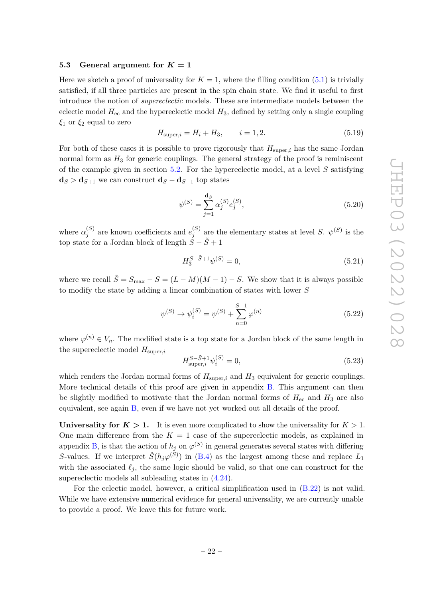#### <span id="page-22-0"></span>**5.3** General argument for  $K = 1$

Here we sketch a proof of universality for  $K = 1$ , where the filling condition [\(5.1\)](#page-19-3) is trivially satisfied, if all three particles are present in the spin chain state. We find it useful to first introduce the notion of *supereclectic* models. These are intermediate models between the eclectic model  $H_{\text{ec}}$  and the hypereclectic model  $H_3$ , defined by setting only a single coupling *ξ*<sup>1</sup> or *ξ*<sup>2</sup> equal to zero

<span id="page-22-1"></span>
$$
H_{\text{super},i} = H_i + H_3, \qquad i = 1, 2. \tag{5.19}
$$

For both of these cases it is possible to prove rigorously that  $H_{\text{super},i}$  has the same Jordan normal form as  $H_3$  for generic couplings. The general strategy of the proof is reminiscent of the example given in section [5.2.](#page-20-0) For the hypereclectic model, at a level *S* satisfying  $\mathbf{d}_S > \mathbf{d}_{S+1}$  we can construct  $\mathbf{d}_S - \mathbf{d}_{S+1}$  top states

$$
\psi^{(S)} = \sum_{j=1}^{\mathbf{d}_S} \alpha_j^{(S)} e_j^{(S)},\tag{5.20}
$$

where  $\alpha_i^{(S)}$  $j^{(S)}$  are known coefficients and  $e_j^{(S)}$  $j^{(S)}$  are the elementary states at level *S*.  $\psi^{(S)}$  is the top state for a Jordan block of length  $S - \tilde{S} + 1$ 

$$
H_3^{S-\tilde{S}+1}\psi^{(S)} = 0,\t\t(5.21)
$$

where we recall  $\tilde{S} = S_{\text{max}} - S = (L - M)(M - 1) - S$ . We show that it is always possible to modify the state by adding a linear combination of states with lower *S*

$$
\psi^{(S)} \to \psi_i^{(S)} = \psi^{(S)} + \sum_{n=0}^{S-1} \varphi^{(n)} \tag{5.22}
$$

where  $\varphi^{(n)} \in V_n$ . The modified state is a top state for a Jordan block of the same length in the supereclectic model  $H_{\text{super},i}$ 

$$
H_{\text{super},i}^{S-\tilde{S}+1} \psi_i^{(S)} = 0,\t\t(5.23)
$$

which renders the Jordan normal forms of  $H_{\text{super},i}$  and  $H_3$  equivalent for generic couplings. More technical details of this proof are given in appendix [B.](#page-25-0) This argument can then be slightly modified to motivate that the Jordan normal forms of  $H_{\text{ec}}$  and  $H_3$  are also equivalent, see again [B,](#page-25-0) even if we have not yet worked out all details of the proof.

**Universality for**  $K > 1$ **.** It is even more complicated to show the universality for  $K > 1$ . One main difference from the  $K = 1$  case of the supereclectic models, as explained in appendix [B,](#page-25-0) is that the action of  $h_j$  on  $\varphi^{(S)}$  in general generates several states with differing *S*-values. If we interpret  $\hat{S}(h_j\varphi^{(\tilde{S})})$  in [\(B.4\)](#page-25-1) as the largest among these and replace  $L_1$ with the associated  $\ell_j$ , the same logic should be valid, so that one can construct for the supereclectic models all subleading states in [\(4.24\)](#page-17-1).

For the eclectic model, however, a critical simplification used in [\(B.22\)](#page-28-0) is not valid. While we have extensive numerical evidence for general universality, we are currently unable to provide a proof. We leave this for future work.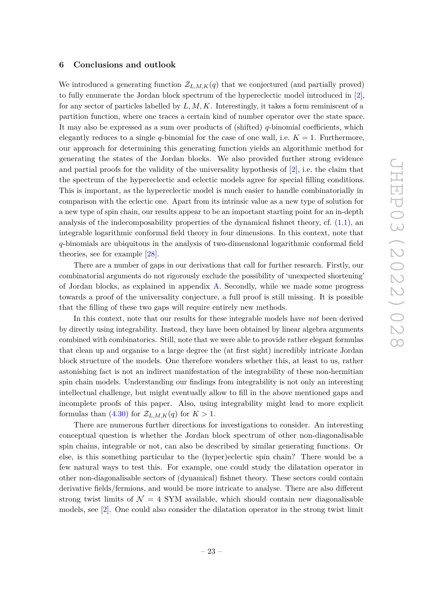#### <span id="page-23-0"></span>**6 Conclusions and outlook**

We introduced a generating function  $\mathcal{Z}_{L,M,K}(q)$  that we conjectured (and partially proved) to fully enumerate the Jordan block spectrum of the hypereclectic model introduced in [\[2\]](#page-30-1), for any sector of particles labelled by *L, M, K*. Interestingly, it takes a form reminiscent of a partition function, where one traces a certain kind of number operator over the state space. It may also be expressed as a sum over products of (shifted) *q*-binomial coefficients, which elegantly reduces to a single *q*-binomial for the case of one wall, i.e.  $K = 1$ . Furthermore, our approach for determining this generating function yields an algorithmic method for generating the states of the Jordan blocks. We also provided further strong evidence and partial proofs for the validity of the universality hypothesis of [\[2\]](#page-30-1), i.e. the claim that the spectrum of the hypereclectic and eclectic models agree for special filling conditions. This is important, as the hypereclectic model is much easier to handle combinatorially in comparison with the eclectic one. Apart from its intrinsic value as a new type of solution for a new type of spin chain, our results appear to be an important starting point for an in-depth analysis of the indecomposability properties of the dynamical fishnet theory, cf. [\(1.1\)](#page-2-0), an integrable logarithmic conformal field theory in four dimensions. In this context, note that *q*-binomials are ubiquitous in the analysis of two-dimensional logarithmic conformal field theories, see for example [\[28\]](#page-31-12).

There are a number of gaps in our derivations that call for further research. Firstly, our combinatorial arguments do not rigorously exclude the possibility of 'unexpected shortening' of Jordan blocks, as explained in appendix [A.](#page-24-0) Secondly, while we made some progress towards a proof of the universality conjecture, a full proof is still missing. It is possible that the filling of these two gaps will require entirely new methods.

In this context, note that our results for these integrable models have *not* been derived by directly using integrability. Instead, they have been obtained by linear algebra arguments combined with combinatorics. Still, note that we were able to provide rather elegant formulas that clean up and organise to a large degree the (at first sight) incredibly intricate Jordan block structure of the models. One therefore wonders whether this, at least to us, rather astonishing fact is not an indirect manifestation of the integrability of these non-hermitian spin chain models. Understanding our findings from integrability is not only an interesting intellectual challenge, but might eventually allow to fill in the above mentioned gaps and incomplete proofs of this paper. Also, using integrability might lead to more explicit formulas than  $(4.30)$  for  $\mathcal{Z}_{L,M,K}(q)$  for  $K > 1$ .

There are numerous further directions for investigations to consider. An interesting conceptual question is whether the Jordan block spectrum of other non-diagonalisable spin chains, integrable or not, can also be described by similar generating functions. Or else, is this something particular to the (hyper)eclectic spin chain? There would be a few natural ways to test this. For example, one could study the dilatation operator in other non-diagonalisable sectors of (dynamical) fishnet theory. These sectors could contain derivative fields/fermions, and would be more intricate to analyse. There are also different strong twist limits of  $\mathcal{N} = 4$  SYM available, which should contain new diagonalisable models, see [\[2\]](#page-30-1). One could also consider the dilatation operator in the strong twist limit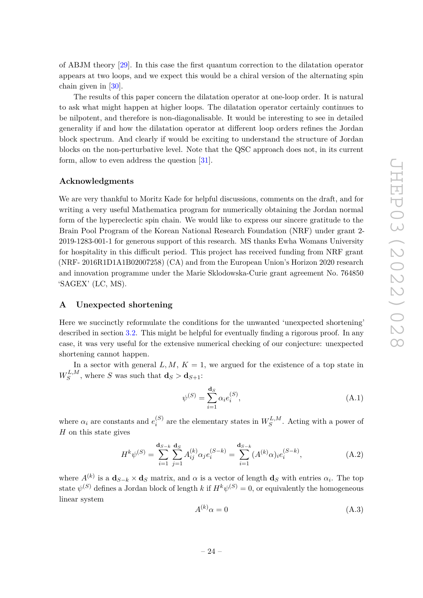of ABJM theory [\[29\]](#page-31-13). In this case the first quantum correction to the dilatation operator appears at two loops, and we expect this would be a chiral version of the alternating spin chain given in [\[30\]](#page-31-14).

The results of this paper concern the dilatation operator at one-loop order. It is natural to ask what might happen at higher loops. The dilatation operator certainly continues to be nilpotent, and therefore is non-diagonalisable. It would be interesting to see in detailed generality if and how the dilatation operator at different loop orders refines the Jordan block spectrum. And clearly if would be exciting to understand the structure of Jordan blocks on the non-perturbative level. Note that the QSC approach does not, in its current form, allow to even address the question [\[31\]](#page-31-15).

#### **Acknowledgments**

We are very thankful to Moritz Kade for helpful discussions, comments on the draft, and for writing a very useful Mathematica program for numerically obtaining the Jordan normal form of the hypereclectic spin chain. We would like to express our sincere gratitude to the Brain Pool Program of the Korean National Research Foundation (NRF) under grant 2- 2019-1283-001-1 for generous support of this research. MS thanks Ewha Womans University for hospitality in this difficult period. This project has received funding from NRF grant (NRF- 2016R1D1A1B02007258) (CA) and from the European Union's Horizon 2020 research and innovation programme under the Marie Sklodowska-Curie grant agreement No. 764850 'SAGEX' (LC, MS).

# <span id="page-24-0"></span>**A Unexpected shortening**

Here we succinctly reformulate the conditions for the unwanted 'unexpected shortening' described in section [3.2.](#page-9-0) This might be helpful for eventually finding a rigorous proof. In any case, it was very useful for the extensive numerical checking of our conjecture: unexpected shortening cannot happen.

In a sector with general  $L, M, K = 1$ , we argued for the existence of a top state in  $W^{L,M}_S$  $S^{L,M}$ , where *S* was such that  $\mathbf{d}_S > \mathbf{d}_{S+1}$ :

$$
\psi^{(S)} = \sum_{i=1}^{\mathbf{d}_S} \alpha_i e_i^{(S)},\tag{A.1}
$$

where  $\alpha_i$  are constants and  $e_i^{(S)}$  $a_i^{(S)}$  are the elementary states in  $W_S^{L,M}$  $S^{L,M}$ . Acting with a power of *H* on this state gives

$$
H^{k}\psi^{(S)} = \sum_{i=1}^{\mathbf{d}_{S-k}} \sum_{j=1}^{\mathbf{d}_{S}} A_{ij}^{(k)} \alpha_j e_i^{(S-k)} = \sum_{i=1}^{\mathbf{d}_{S-k}} (A^{(k)} \alpha)_{i} e_i^{(S-k)}, \tag{A.2}
$$

where  $A^{(k)}$  is a  $\mathbf{d}_{S-k} \times \mathbf{d}_S$  matrix, and  $\alpha$  is a vector of length  $\mathbf{d}_S$  with entries  $\alpha_i$ . The top state  $\psi^{(S)}$  defines a Jordan block of length *k* if  $H^k\psi^{(S)}=0$ , or equivalently the homogeneous linear system

<span id="page-24-1"></span>
$$
A^{(k)}\alpha = 0\tag{A.3}
$$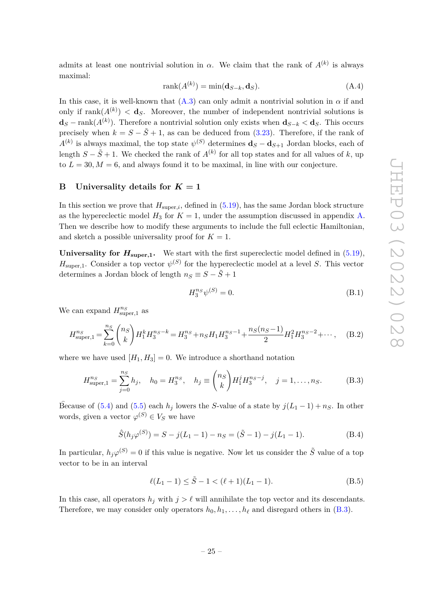admits at least one nontrivial solution in  $\alpha$ . We claim that the rank of  $A^{(k)}$  is always maximal:  $\lambda$ 

$$
rank(A^{(k)}) = min(\mathbf{d}_{S-k}, \mathbf{d}_S). \tag{A.4}
$$

In this case, it is well-known that  $(A.3)$  can only admit a nontrivial solution in  $\alpha$  if and only if  $\text{rank}(A^{(k)}) < d_S$ . Moreover, the number of independent nontrivial solutions is **d***<sup>S</sup>* − rank(*A*(*k*) ). Therefore a nontrivial solution only exists when **d***S*−*<sup>k</sup> <* **d***S*. This occurs precisely when  $k = S - \tilde{S} + 1$ , as can be deduced from [\(3.23\)](#page-11-0). Therefore, if the rank of  $A^{(k)}$  is always maximal, the top state  $\psi^{(S)}$  determines  $\mathbf{d}_S - \mathbf{d}_{S+1}$  Jordan blocks, each of length  $S - \tilde{S} + 1$ . We checked the rank of  $A^{(k)}$  for all top states and for all values of *k*, up to  $L = 30, M = 6$ , and always found it to be maximal, in line with our conjecture.

#### <span id="page-25-0"></span>**B** Universality details for  $K = 1$

In this section we prove that  $H_{\text{super},i}$ , defined in  $(5.19)$ , has the same Jordan block structure as the hypereclectic model  $H_3$  for  $K = 1$ , under the assumption discussed in appendix [A.](#page-24-0) Then we describe how to modify these arguments to include the full eclectic Hamiltonian, and sketch a possible universality proof for  $K = 1$ .

**Universality for**  $H_{\text{super,1}}$ **.** We start with the first supereclectic model defined in  $(5.19)$ ,  $H_{\text{super},1}$ . Consider a top vector  $\psi^{(S)}$  for the hypereclectic model at a level *S*. This vector determines a Jordan block of length  $n_S \equiv S - \tilde{S} + 1$ 

<span id="page-25-4"></span>
$$
H_3^{n_S} \psi^{(S)} = 0. \tag{B.1}
$$

We can expand  $H_{\text{super},1}^{n_S}$  as

$$
H_{\text{super},1}^{n_S} = \sum_{k=0}^{n_S} \binom{n_S}{k} H_1^k H_3^{n_S - k} = H_3^{n_S} + n_S H_1 H_3^{n_S - 1} + \frac{n_S(n_S - 1)}{2} H_1^2 H_3^{n_S - 2} + \cdots, \tag{B.2}
$$

where we have used  $[H_1, H_3] = 0$ . We introduce a shorthand notation

<span id="page-25-2"></span>
$$
H_{\text{super},1}^{n_S} = \sum_{j=0}^{n_S} h_j, \quad h_0 = H_3^{n_S}, \quad h_j \equiv \binom{n_S}{k} H_1^j H_3^{n_S - j}, \quad j = 1, \dots, n_S. \tag{B.3}
$$

Because of [\(5.4\)](#page-20-3) and [\(5.5\)](#page-20-2) each  $h_j$  lowers the *S*-value of a state by  $j(L_1 - 1) + n_S$ . In other words, given a vector  $\varphi^{(S)} \in V_S$  we have

<span id="page-25-1"></span>
$$
\hat{S}(h_j \varphi^{(S)}) = S - j(L_1 - 1) - n_S = (\tilde{S} - 1) - j(L_1 - 1). \tag{B.4}
$$

In particular,  $h_j\varphi^{(S)}=0$  if this value is negative. Now let us consider the  $\tilde{S}$  value of a top vector to be in an interval

<span id="page-25-3"></span>
$$
\ell(L_1 - 1) \le \tilde{S} - 1 < (\ell + 1)(L_1 - 1). \tag{B.5}
$$

In this case, all operators  $h_j$  with  $j > \ell$  will annihilate the top vector and its descendants. Therefore, we may consider only operators  $h_0, h_1, \ldots, h_\ell$  and disregard others in [\(B.3\)](#page-25-2).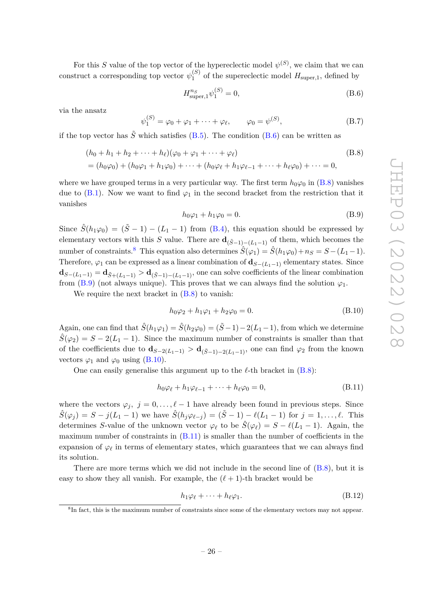For this *S* value of the top vector of the hypereclectic model  $\psi^{(S)}$ , we claim that we can construct a corresponding top vector  $\psi_1^{(S)}$  $I_1^{(3)}$  of the supereclectic model  $H_{\text{super},1}$ , defined by

<span id="page-26-1"></span><span id="page-26-0"></span>
$$
H_{\text{super},1}^{n_S} \psi_1^{(S)} = 0,\t\t(B.6)
$$

via the ansatz

$$
\psi_1^{(S)} = \varphi_0 + \varphi_1 + \dots + \varphi_\ell, \qquad \varphi_0 = \psi^{(S)}, \tag{B.7}
$$

if the top vector has  $\tilde{S}$  which satisfies [\(B.5\)](#page-25-3). The condition [\(B.6\)](#page-26-0) can be written as

$$
(h_0 + h_1 + h_2 + \dots + h_\ell)(\varphi_0 + \varphi_1 + \dots + \varphi_\ell)
$$
  
=  $(h_0\varphi_0) + (h_0\varphi_1 + h_1\varphi_0) + \dots + (h_0\varphi_\ell + h_1\varphi_{\ell-1} + \dots + h_\ell\varphi_0) + \dots = 0,$  (B.8)

where we have grouped terms in a very particular way. The first term  $h_0\varphi_0$  in [\(B.8\)](#page-26-1) vanishes due to  $(B.1)$ . Now we want to find  $\varphi_1$  in the second bracket from the restriction that it vanishes

<span id="page-26-3"></span>
$$
h_0\varphi_1 + h_1\varphi_0 = 0. \tag{B.9}
$$

Since  $\hat{S}(h_1\varphi_0) = (\tilde{S} - 1) - (L_1 - 1)$  from [\(B.4\)](#page-25-1), this equation should be expressed by elementary vectors with this *S* value. There are  $\mathbf{d}_{(\tilde{S}-1)-(L_1-1)}$  of them, which becomes the number of constraints.<sup>[8](#page-26-2)</sup> This equation also determines  $\hat{S}(\varphi_1) = \hat{S}(h_1\varphi_0) + n_S = S - (L_1 - 1)$ . Therefore,  $\varphi_1$  can be expressed as a linear combination of  $\mathbf{d}_{S-(L_1-1)}$  elementary states. Since **d**<sub>*S*−(*L*<sub>1</sub>−1)</sub> = **d**<sub>*S*<sup> $+$ </sup>(*L*<sub>1</sub>−1)</sub> > **d**<sub>(*S*<sup> $-$ 1)−(*L*<sub>1</sub>−1)</sub>, one can solve coefficients of the linear combination</sub></sup> from [\(B.9\)](#page-26-3) (not always unique). This proves that we can always find the solution  $\varphi_1$ .

We require the next bracket in  $(B.8)$  to vanish:

<span id="page-26-4"></span>
$$
h_0 \varphi_2 + h_1 \varphi_1 + h_2 \varphi_0 = 0.
$$
 (B.10)

Again, one can find that  $\hat{S}(h_1\varphi_1) = \hat{S}(h_2\varphi_0) = (\tilde{S}-1) - 2(L_1-1)$ , from which we determine  $\hat{S}(\varphi_2) = S - 2(L_1 - 1)$ . Since the maximum number of constraints is smaller than that of the coefficients due to  $\mathbf{d}_{S-2(L_1-1)} > \mathbf{d}_{(\tilde{S}-1)-2(L_1-1)}$ , one can find  $\varphi_2$  from the known vectors  $\varphi_1$  and  $\varphi_0$  using [\(B.10\)](#page-26-4).

One can easily generalise this argument up to the  $\ell$ -th bracket in  $(B.8)$ :

<span id="page-26-5"></span>
$$
h_0\varphi_\ell + h_1\varphi_{\ell-1} + \dots + h_\ell\varphi_0 = 0, \tag{B.11}
$$

where the vectors  $\varphi_j$ ,  $j = 0, \ldots, \ell - 1$  have already been found in previous steps. Since  $\hat{S}(\varphi_i) = S - j(L_1 - 1)$  we have  $\hat{S}(h_i \varphi_{\ell-i}) = (\tilde{S} - 1) - \ell(L_1 - 1)$  for  $j = 1, ..., \ell$ . This determines *S*-value of the unknown vector  $\varphi_{\ell}$  to be  $\hat{S}(\varphi_{\ell}) = S - \ell(L_1 - 1)$ . Again, the maximum number of constraints in [\(B.11\)](#page-26-5) is smaller than the number of coefficients in the expansion of  $\varphi_{\ell}$  in terms of elementary states, which guarantees that we can always find its solution.

There are more terms which we did not include in the second line of [\(B.8\)](#page-26-1), but it is easy to show they all vanish. For example, the  $(\ell + 1)$ -th bracket would be

$$
h_1\varphi_\ell + \dots + h_\ell\varphi_1. \tag{B.12}
$$

<span id="page-26-2"></span><sup>8</sup> In fact, this is the maximum number of constraints since some of the elementary vectors may not appear.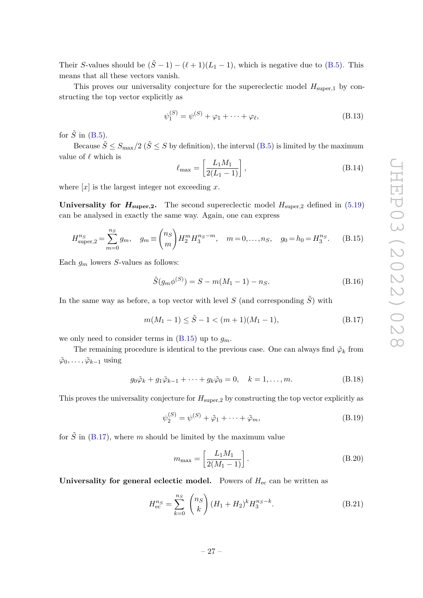Their *S*-values should be  $(\tilde{S} - 1) - (\ell + 1)(L_1 - 1)$ , which is negative due to [\(B.5\)](#page-25-3). This means that all these vectors vanish.

This proves our universality conjecture for the supereclectic model  $H_{\text{super,1}}$  by constructing the top vector explicitly as

$$
\psi_1^{(S)} = \psi^{(S)} + \varphi_1 + \dots + \varphi_\ell, \tag{B.13}
$$

for  $\tilde{S}$  in [\(B.5\)](#page-25-3).

Because  $\tilde{S} \leq S_{\text{max}}/2$  ( $\tilde{S} \leq S$  by definition), the interval [\(B.5\)](#page-25-3) is limited by the maximum value of  $\ell$  which is

$$
\ell_{\max} = \left[\frac{L_1 M_1}{2(L_1 - 1)}\right],\tag{B.14}
$$

where  $[x]$  is the largest integer not exceeding x.

**Universality for**  $H_{\text{super},2}$ **.** The second supereclectic model  $H_{\text{super},2}$  defined in [\(5.19\)](#page-22-1) can be analysed in exactly the same way. Again, one can express

<span id="page-27-0"></span>
$$
H_{\text{super},2}^{n_S} = \sum_{m=0}^{n_S} g_m, \quad g_m \equiv \binom{n_S}{m} H_2^m H_3^{n_S - m}, \quad m = 0, \dots, n_S, \quad g_0 = h_0 = H_3^{n_S}.
$$
 (B.15)

Each *g<sup>m</sup>* lowers *S*-values as follows:

$$
\hat{S}(g_m \phi^{(S)}) = S - m(M_1 - 1) - n_S.
$$
\n(B.16)

In the same way as before, a top vector with level *S* (and corresponding  $\tilde{S}$ ) with

<span id="page-27-1"></span>
$$
m(M_1 - 1) \le \tilde{S} - 1 < (m+1)(M_1 - 1),\tag{B.17}
$$

we only need to consider terms in  $(B.15)$  up to  $g_m$ .

The remaining procedure is identical to the previous case. One can always find  $\tilde{\varphi}_k$  from  $\tilde{\varphi}_0, \ldots, \tilde{\varphi}_{k-1}$  using

$$
g_0\tilde{\varphi}_k + g_1\tilde{\varphi}_{k-1} + \dots + g_k\tilde{\varphi}_0 = 0, \quad k = 1, \dots, m.
$$
 (B.18)

This proves the universality conjecture for *H*super*,*<sup>2</sup> by constructing the top vector explicitly as

$$
\psi_2^{(S)} = \psi^{(S)} + \tilde{\varphi}_1 + \dots + \tilde{\varphi}_m,\tag{B.19}
$$

for  $\tilde{S}$  in [\(B.17\)](#page-27-1), where *m* should be limited by the maximum value

$$
m_{\text{max}} = \left[\frac{L_1 M_1}{2(M_1 - 1)}\right].
$$
 (B.20)

**Universality for general eclectic model.** Powers of  $H_{ec}$  can be written as

<span id="page-27-2"></span>
$$
H_{\rm ec}^{n_S} = \sum_{k=0}^{n_S} \binom{n_S}{k} (H_1 + H_2)^k H_3^{n_S - k}.
$$
 (B.21)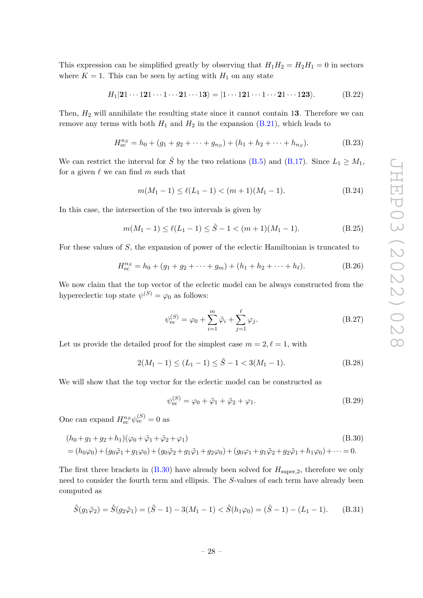This expression can be simplified greatly by observing that  $H_1H_2 = H_2H_1 = 0$  in sectors where  $K = 1$ . This can be seen by acting with  $H_1$  on any state

<span id="page-28-0"></span>
$$
H_1|\mathbf{21}\cdots\mathbf{121}\cdots\mathbf{1}\cdots\mathbf{21}\cdots\mathbf{13}\rangle = |\mathbf{1}\cdots\mathbf{121}\cdots\mathbf{1}\cdots\mathbf{21}\cdots\mathbf{123}\rangle. \tag{B.22}
$$

Then, *H*<sup>2</sup> will annihilate the resulting state since it cannot contain 1**3**. Therefore we can remove any terms with both  $H_1$  and  $H_2$  in the expansion  $(B.21)$ , which leads to

$$
H_{\text{ec}}^{n_S} = h_0 + (g_1 + g_2 + \dots + g_{n_S}) + (h_1 + h_2 + \dots + h_{n_S}).
$$
 (B.23)

We can restrict the interval for  $\tilde{S}$  by the two relations [\(B.5\)](#page-25-3) and [\(B.17\)](#page-27-1). Since  $L_1 \geq M_1$ , for a given  $\ell$  we can find  $m$  such that

$$
m(M_1 - 1) \le \ell(L_1 - 1) < (m+1)(M_1 - 1). \tag{B.24}
$$

In this case, the intersection of the two intervals is given by

$$
m(M_1 - 1) \le \ell(L_1 - 1) \le \tilde{S} - 1 < (m+1)(M_1 - 1). \tag{B.25}
$$

For these values of *S*, the expansion of power of the eclectic Hamiltonian is truncated to

$$
H_{\text{ec}}^{n_S} = h_0 + (g_1 + g_2 + \dots + g_m) + (h_1 + h_2 + \dots + h_\ell). \tag{B.26}
$$

We now claim that the top vector of the eclectic model can be always constructed from the hypereclectic top state  $\psi^{(S)} = \varphi_0$  as follows:

$$
\psi_{\rm ec}^{(S)} = \varphi_0 + \sum_{i=1}^{m} \tilde{\varphi}_i + \sum_{j=1}^{\ell} \varphi_j.
$$
 (B.27)

Let us provide the detailed proof for the simplest case  $m = 2, \ell = 1$ , with

<span id="page-28-2"></span>
$$
2(M_1 - 1) \le (L_1 - 1) \le \tilde{S} - 1 < 3(M_1 - 1). \tag{B.28}
$$

We will show that the top vector for the eclectic model can be constructed as

<span id="page-28-1"></span>
$$
\psi_{ec}^{(S)} = \varphi_0 + \tilde{\varphi}_1 + \tilde{\varphi}_2 + \varphi_1.
$$
\n(B.29)

One can expand  $H_{\text{ec}}^{n_S} \psi_{\text{ec}}^{(S)} = 0$  as

$$
(h_0 + g_1 + g_2 + h_1)(\varphi_0 + \tilde{\varphi}_1 + \tilde{\varphi}_2 + \varphi_1)
$$
\n
$$
= (h_0\varphi_0) + (g_0\tilde{\varphi}_1 + g_1\varphi_0) + (g_0\tilde{\varphi}_2 + g_1\tilde{\varphi}_1 + g_2\varphi_0) + (g_0\varphi_1 + g_1\tilde{\varphi}_2 + g_2\tilde{\varphi}_1 + h_1\varphi_0) + \dots = 0.
$$
\n(B.30)

The first three brackets in  $(B.30)$  have already been solved for  $H_{\text{super},2}$ , therefore we only need to consider the fourth term and ellipsis. The *S*-values of each term have already been computed as

$$
\hat{S}(g_1\tilde{\varphi}_2) = \hat{S}(g_2\tilde{\varphi}_1) = (\tilde{S} - 1) - 3(M_1 - 1) < \hat{S}(h_1\varphi_0) = (\tilde{S} - 1) - (L_1 - 1). \tag{B.31}
$$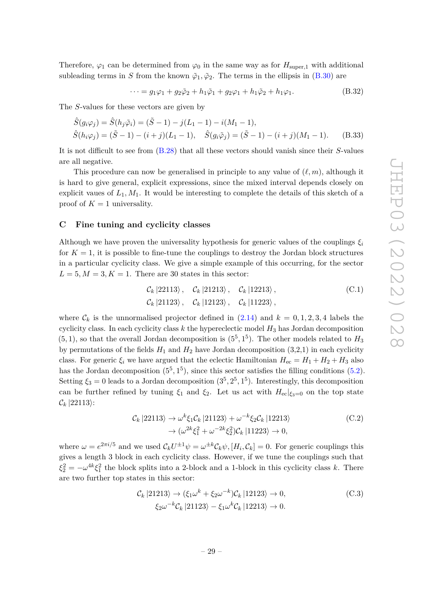Therefore,  $\varphi_1$  can be determined from  $\varphi_0$  in the same way as for  $H_{\text{super},1}$  with additional subleading terms in *S* from the known  $\tilde{\varphi}_1$ ,  $\tilde{\varphi}_2$ . The terms in the ellipsis in [\(B.30\)](#page-28-1) are

$$
\cdots = g_1 \varphi_1 + g_2 \tilde{\varphi}_2 + h_1 \tilde{\varphi}_1 + g_2 \varphi_1 + h_1 \tilde{\varphi}_2 + h_1 \varphi_1.
$$
 (B.32)

The *S*-values for these vectors are given by

$$
\hat{S}(g_i \varphi_j) = \hat{S}(h_j \tilde{\varphi}_i) = (\tilde{S} - 1) - j(L_1 - 1) - i(M_1 - 1),
$$
  
\n
$$
\hat{S}(h_i \varphi_j) = (\tilde{S} - 1) - (i + j)(L_1 - 1), \quad \hat{S}(g_i \tilde{\varphi}_j) = (\tilde{S} - 1) - (i + j)(M_1 - 1).
$$
 (B.33)

It is not difficult to see from [\(B.28\)](#page-28-2) that all these vectors should vanish since their *S*-values are all negative.

This procedure can now be generalised in principle to any value of  $(\ell, m)$ , although it is hard to give general, explicit expressions, since the mixed interval depends closely on explicit vaues of *L*1*, M*1. It would be interesting to complete the details of this sketch of a proof of  $K = 1$  universality.

#### <span id="page-29-0"></span>**C Fine tuning and cyclicity classes**

Although we have proven the universality hypothesis for generic values of the couplings  $\xi_i$ for  $K = 1$ , it is possible to fine-tune the couplings to destroy the Jordan block structures in a particular cyclicity class. We give a simple example of this occurring, for the sector  $L = 5, M = 3, K = 1$ . There are 30 states in this sector:

$$
\mathcal{C}_k |22113\rangle, \quad \mathcal{C}_k |21213\rangle, \quad \mathcal{C}_k |12213\rangle, \n\mathcal{C}_k |21123\rangle, \quad \mathcal{C}_k |12123\rangle, \quad \mathcal{C}_k |11223\rangle,
$$
\n(C.1)

where  $\mathcal{C}_k$  is the unnormalised projector defined in  $(2.14)$  and  $k = 0, 1, 2, 3, 4$  labels the cyclicity class. In each cyclicity class *k* the hypereclectic model *H*<sup>3</sup> has Jordan decomposition  $(5,1)$ , so that the overall Jordan decomposition is  $(5^5,1^5)$ . The other models related to  $H_3$ by permutations of the fields  $H_1$  and  $H_2$  have Jordan decomposition  $(3,2,1)$  in each cyclicity class. For generic  $\xi_i$  we have argued that the eclectic Hamiltonian  $H_{ec} = H_1 + H_2 + H_3$  also has the Jordan decomposition  $(5^5, 1^5)$ , since this sector satisfies the filling conditions  $(5.2)$ . Setting  $\xi_3 = 0$  leads to a Jordan decomposition  $(3^5, 2^5, 1^5)$ . Interestingly, this decomposition can be further refined by tuning  $\xi_1$  and  $\xi_2$ . Let us act with  $H_{ec}|_{\xi_3=0}$  on the top state  $\mathcal{C}_k$  |22113 $\rangle$ :

$$
\mathcal{C}_k |22113\rangle \to \omega^k \xi_1 \mathcal{C}_k |21123\rangle + \omega^{-k} \xi_2 \mathcal{C}_k |12213\rangle
$$
\n
$$
\to (\omega^{2k} \xi_1^2 + \omega^{-2k} \xi_2^2) \mathcal{C}_k |11223\rangle \to 0,
$$
\n(C.2)

where  $\omega = e^{2\pi i/5}$  and we used  $C_k U^{\pm 1} \psi = \omega^{\pm k} C_k \psi$ ,  $[H_i, C_k] = 0$ . For generic couplings this gives a length 3 block in each cyclicity class. However, if we tune the couplings such that  $\xi_2^2 = -\omega^{4k}\xi_1^2$  the block splits into a 2-block and a 1-block in this cyclicity class *k*. There are two further top states in this sector:

$$
\mathcal{C}_k |21213\rangle \to (\xi_1 \omega^k + \xi_2 \omega^{-k}) \mathcal{C}_k |12123\rangle \to 0,
$$
\n
$$
\xi_2 \omega^{-k} \mathcal{C}_k |21123\rangle - \xi_1 \omega^k \mathcal{C}_k |12213\rangle \to 0.
$$
\n(C.3)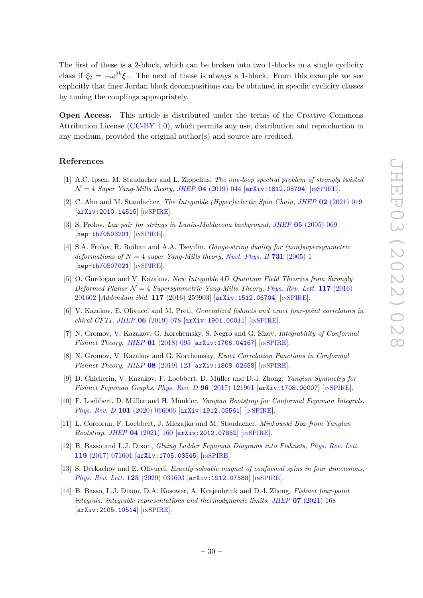The first of these is a 2-block, which can be broken into two 1-blocks in a single cyclicity class if  $\xi_2 = -\omega^{2k}\xi_1$ . The next of these is always a 1-block. From this example we see explicitly that finer Jordan block decompositions can be obtained in specific cyclicity classes by tuning the couplings appropriately.

**Open Access.** This article is distributed under the terms of the Creative Commons Attribution License [\(CC-BY 4.0\)](https://creativecommons.org/licenses/by/4.0/), which permits any use, distribution and reproduction in any medium, provided the original author(s) and source are credited.

# **References**

- <span id="page-30-0"></span>[1] A.C. Ipsen, M. Staudacher and L. Zippelius, *The one-loop spectral problem of strongly twisted* N = 4 *Super Yang-Mills theory*, *JHEP* **04** [\(2019\) 044](https://doi.org/10.1007/JHEP04(2019)044) [[arXiv:1812.08794](https://arxiv.org/abs/1812.08794)] [IN[SPIRE](https://inspirehep.net/search?p=find+EPRINT%2BarXiv%3A1812.08794)].
- <span id="page-30-1"></span>[2] C. Ahn and M. Staudacher, *The Integrable (Hyper)eclectic Spin Chain*, *JHEP* **02** [\(2021\) 019](https://doi.org/10.1007/JHEP02(2021)019) [[arXiv:2010.14515](https://arxiv.org/abs/2010.14515)] [IN[SPIRE](https://inspirehep.net/search?p=find+EPRINT%2BarXiv%3A2010.14515)].
- <span id="page-30-2"></span>[3] S. Frolov, *Lax pair for strings in Lunin-Maldacena background*, *JHEP* **05** [\(2005\) 069](https://doi.org/10.1088/1126-6708/2005/05/069) [[hep-th/0503201](https://arxiv.org/abs/hep-th/0503201)] [IN[SPIRE](https://inspirehep.net/search?p=find+EPRINT%2Bhep-th%2F0503201)].
- <span id="page-30-3"></span>[4] S.A. Frolov, R. Roiban and A.A. Tseytlin, *Gauge-string duality for (non)supersymmetric deformations of*  $N = 4$  *super Yang-Mills theory, [Nucl. Phys. B](https://doi.org/10.1016/j.nuclphysb.2005.10.004)* **731** (2005) 1 [[hep-th/0507021](https://arxiv.org/abs/hep-th/0507021)] [IN[SPIRE](https://inspirehep.net/search?p=find+EPRINT%2Bhep-th%2F0507021)].
- <span id="page-30-4"></span>[5] O. Gürdoğan and V. Kazakov, *New Integrable* 4*D Quantum Field Theories from Strongly Deformed Planar*  $\mathcal{N} = 4$  *Supersymmetric Yang-Mills Theory, [Phys. Rev. Lett.](https://doi.org/10.1103/PhysRevLett.117.201602)* **117** (2016) [201602](https://doi.org/10.1103/PhysRevLett.117.201602) [*Addendum ibid.* **117** (2016) 259903] [[arXiv:1512.06704](https://arxiv.org/abs/1512.06704)] [IN[SPIRE](https://inspirehep.net/search?p=find+EPRINT%2BarXiv%3A1512.06704)].
- <span id="page-30-5"></span>[6] V. Kazakov, E. Olivucci and M. Preti, *Generalized fishnets and exact four-point correlators in chiral CFT*4, *JHEP* **06** [\(2019\) 078](https://doi.org/10.1007/JHEP06(2019)078) [[arXiv:1901.00011](https://arxiv.org/abs/1901.00011)] [IN[SPIRE](https://inspirehep.net/search?p=find+EPRINT%2BarXiv%3A1901.00011)].
- <span id="page-30-12"></span>[7] N. Gromov, V. Kazakov, G. Korchemsky, S. Negro and G. Sizov, *Integrability of Conformal Fishnet Theory*, *JHEP* **01** [\(2018\) 095](https://doi.org/10.1007/JHEP01(2018)095) [[arXiv:1706.04167](https://arxiv.org/abs/1706.04167)] [IN[SPIRE](https://inspirehep.net/search?p=find+EPRINT%2BarXiv%3A1706.04167)].
- <span id="page-30-6"></span>[8] N. Gromov, V. Kazakov and G. Korchemsky, *Exact Correlation Functions in Conformal Fishnet Theory*, *JHEP* **08** [\(2019\) 123](https://doi.org/10.1007/JHEP08(2019)123) [[arXiv:1808.02688](https://arxiv.org/abs/1808.02688)] [IN[SPIRE](https://inspirehep.net/search?p=find+EPRINT%2BarXiv%3A1808.02688)].
- <span id="page-30-7"></span>[9] D. Chicherin, V. Kazakov, F. Loebbert, D. Müller and D.-l. Zhong, *Yangian Symmetry for Fishnet Feynman Graphs*, *Phys. Rev. D* **96** [\(2017\) 121901](https://doi.org/10.1103/PhysRevD.96.121901) [[arXiv:1708.00007](https://arxiv.org/abs/1708.00007)] [IN[SPIRE](https://inspirehep.net/search?p=find+EPRINT%2BarXiv%3A1708.00007)].
- <span id="page-30-8"></span>[10] F. Loebbert, D. Müller and H. Münkler, *Yangian Bootstrap for Conformal Feynman Integrals*, *Phys. Rev. D* **101** [\(2020\) 066006](https://doi.org/10.1103/PhysRevD.101.066006) [[arXiv:1912.05561](https://arxiv.org/abs/1912.05561)] [IN[SPIRE](https://inspirehep.net/search?p=find+EPRINT%2BarXiv%3A1912.05561)].
- <span id="page-30-9"></span>[11] L. Corcoran, F. Loebbert, J. Miczajka and M. Staudacher, *Minkowski Box from Yangian Bootstrap*, *JHEP* **04** [\(2021\) 160](https://doi.org/10.1007/JHEP04(2021)160) [[arXiv:2012.07852](https://arxiv.org/abs/2012.07852)] [IN[SPIRE](https://inspirehep.net/search?p=find+EPRINT%2BarXiv%3A2012.07852)].
- <span id="page-30-10"></span>[12] B. Basso and L.J. Dixon, *Gluing Ladder Feynman Diagrams into Fishnets*, *[Phys. Rev. Lett.](https://doi.org/10.1103/PhysRevLett.119.071601)* **119** [\(2017\) 071601](https://doi.org/10.1103/PhysRevLett.119.071601) [[arXiv:1705.03545](https://arxiv.org/abs/1705.03545)] [IN[SPIRE](https://inspirehep.net/search?p=find+EPRINT%2BarXiv%3A1705.03545)].
- [13] S. Derkachov and E. Olivucci, *Exactly solvable magnet of conformal spins in four dimensions*, *[Phys. Rev. Lett.](https://doi.org/10.1103/PhysRevLett.125.031603)* **125** (2020) 031603 [[arXiv:1912.07588](https://arxiv.org/abs/1912.07588)] [IN[SPIRE](https://inspirehep.net/search?p=find+EPRINT%2BarXiv%3A1912.07588)].
- <span id="page-30-11"></span>[14] B. Basso, L.J. Dixon, D.A. Kosower, A. Krajenbrink and D.-l. Zhong, *Fishnet four-point integrals: integrable representations and thermodynamic limits*, *JHEP* **07** [\(2021\) 168](https://doi.org/10.1007/JHEP07(2021)168) [[arXiv:2105.10514](https://arxiv.org/abs/2105.10514)] [IN[SPIRE](https://inspirehep.net/search?p=find+EPRINT%2BarXiv%3A2105.10514)].